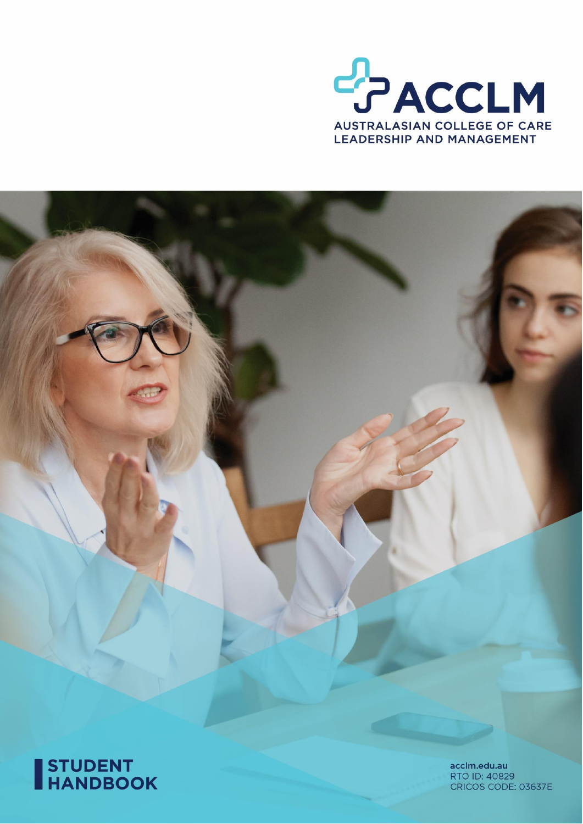





acclm.edu.au RTO ID: 40829 CRICOS CODE: 03637E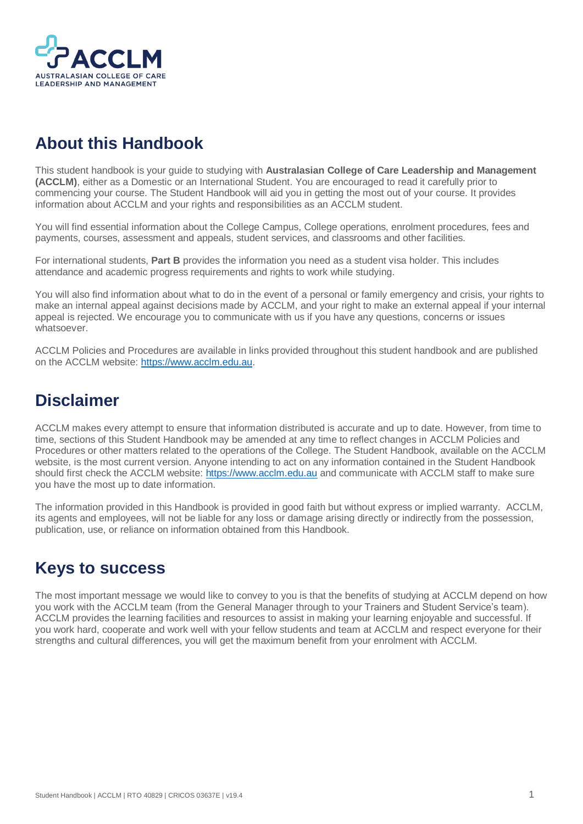

# <span id="page-1-0"></span>**About this Handbook**

This student handbook is your guide to studying with **Australasian College of Care Leadership and Management (ACCLM)**, either as a Domestic or an International Student. You are encouraged to read it carefully prior to commencing your course. The Student Handbook will aid you in getting the most out of your course. It provides information about ACCLM and your rights and responsibilities as an ACCLM student.

You will find essential information about the College Campus, College operations, enrolment procedures, fees and payments, courses, assessment and appeals, student services, and classrooms and other facilities.

For international students, **Part B** provides the information you need as a student visa holder. This includes attendance and academic progress requirements and rights to work while studying.

You will also find information about what to do in the event of a personal or family emergency and crisis, your rights to make an internal appeal against decisions made by ACCLM, and your right to make an external appeal if your internal appeal is rejected. We encourage you to communicate with us if you have any questions, concerns or issues whatsoever.

ACCLM Policies and Procedures are available in links provided throughout this student handbook and are published on the ACCLM website: [https://www.acclm.edu.au.](https://www.acclm.edu.au/)

# <span id="page-1-1"></span>**Disclaimer**

ACCLM makes every attempt to ensure that information distributed is accurate and up to date. However, from time to time, sections of this Student Handbook may be amended at any time to reflect changes in ACCLM Policies and Procedures or other matters related to the operations of the College. The Student Handbook, available on the ACCLM website, is the most current version. Anyone intending to act on any information contained in the Student Handbook should first check the ACCLM website: [https://www.acclm.edu.au](https://www.acclm.edu.au/) and communicate with ACCLM staff to make sure you have the most up to date information.

The information provided in this Handbook is provided in good faith but without express or implied warranty. ACCLM, its agents and employees, will not be liable for any loss or damage arising directly or indirectly from the possession, publication, use, or reliance on information obtained from this Handbook.

# <span id="page-1-2"></span>**Keys to success**

The most important message we would like to convey to you is that the benefits of studying at ACCLM depend on how you work with the ACCLM team (from the General Manager through to your Trainers and Student Service's team). ACCLM provides the learning facilities and resources to assist in making your learning enjoyable and successful. If you work hard, cooperate and work well with your fellow students and team at ACCLM and respect everyone for their strengths and cultural differences, you will get the maximum benefit from your enrolment with ACCLM.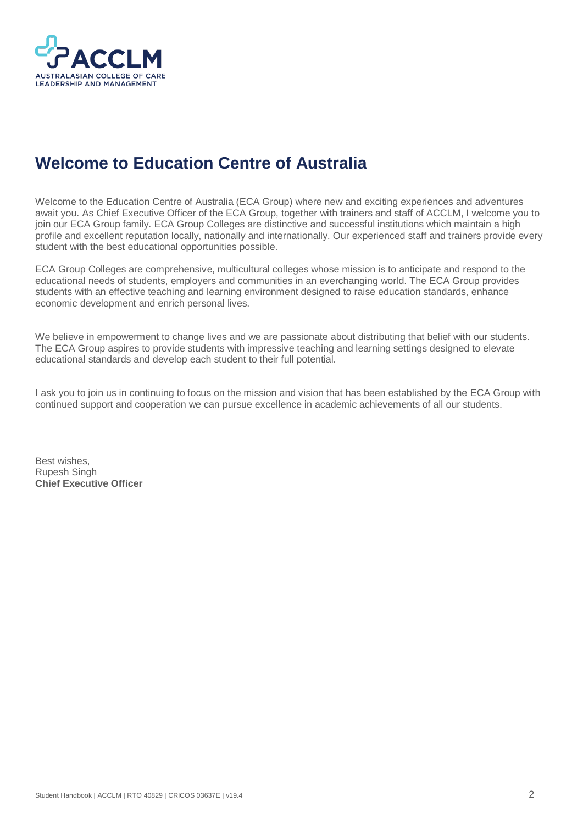

# <span id="page-2-0"></span>**Welcome to Education Centre of Australia**

Welcome to the Education Centre of Australia (ECA Group) where new and exciting experiences and adventures await you. As Chief Executive Officer of the ECA Group, together with trainers and staff of ACCLM, I welcome you to join our ECA Group family. ECA Group Colleges are distinctive and successful institutions which maintain a high profile and excellent reputation locally, nationally and internationally. Our experienced staff and trainers provide every student with the best educational opportunities possible.

ECA Group Colleges are comprehensive, multicultural colleges whose mission is to anticipate and respond to the educational needs of students, employers and communities in an everchanging world. The ECA Group provides students with an effective teaching and learning environment designed to raise education standards, enhance economic development and enrich personal lives.

We believe in empowerment to change lives and we are passionate about distributing that belief with our students. The ECA Group aspires to provide students with impressive teaching and learning settings designed to elevate educational standards and develop each student to their full potential.

I ask you to join us in continuing to focus on the mission and vision that has been established by the ECA Group with continued support and cooperation we can pursue excellence in academic achievements of all our students.

Best wishes, Rupesh Singh **Chief Executive Officer**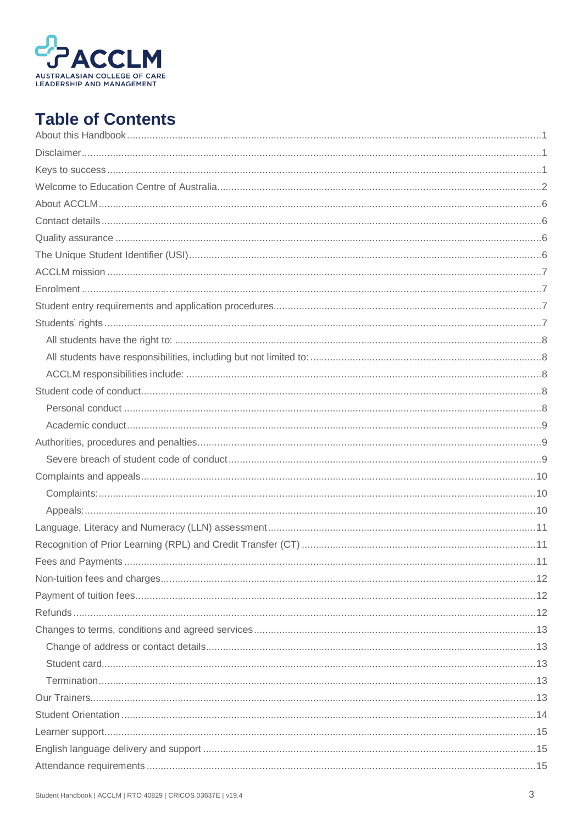

# **Table of Contents**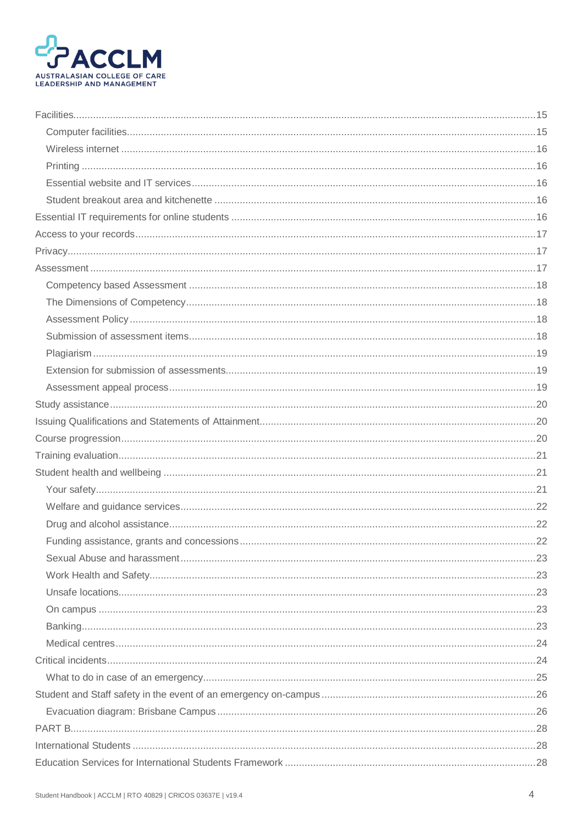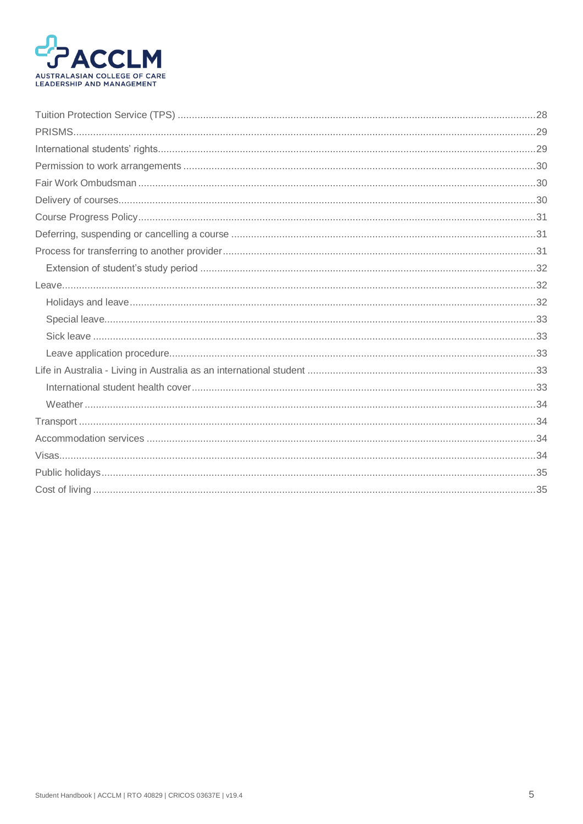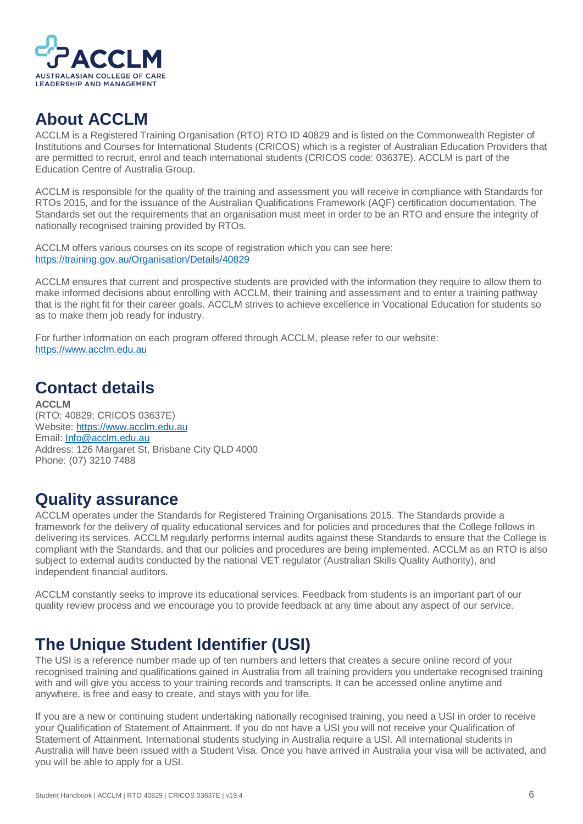

# <span id="page-6-0"></span>**About ACCLM**

ACCLM is a Registered Training Organisation (RTO) RTO ID 40829 and is listed on the Commonwealth Register of Institutions and Courses for International Students (CRICOS) which is a register of Australian Education Providers that are permitted to recruit, enrol and teach international students (CRICOS code: 03637E). ACCLM is part of the Education Centre of Australia Group.

ACCLM is responsible for the quality of the training and assessment you will receive in compliance with Standards for RTOs 2015, and for the issuance of the Australian Qualifications Framework (AQF) certification documentation. The Standards set out the requirements that an organisation must meet in order to be an RTO and ensure the integrity of nationally recognised training provided by RTOs.

ACCLM offers various courses on its scope of registration which you can see here: <https://training.gov.au/Organisation/Details/40829>

ACCLM ensures that current and prospective students are provided with the information they require to allow them to make informed decisions about enrolling with ACCLM, their training and assessment and to enter a training pathway that is the right fit for their career goals. ACCLM strives to achieve excellence in Vocational Education for students so as to make them job ready for industry.

For further information on each program offered through ACCLM, please refer to our website: [https://www.acclm.edu.au](https://www.acclm.edu.au/)

# <span id="page-6-1"></span>**Contact details**

**ACCLM** (RTO: 40829; CRICOS 03637E) Website[: https://www.acclm.edu.au](https://www.acclm.edu.au/) Email[: Info@acclm.edu.au](mailto:Info@acclm.edu.au) Address: 126 Margaret St, Brisbane City QLD 4000 Phone: (07) 3210 7488

# <span id="page-6-2"></span>**Quality assurance**

ACCLM operates under the Standards for Registered Training Organisations 2015. The Standards provide a framework for the delivery of quality educational services and for policies and procedures that the College follows in delivering its services. ACCLM regularly performs internal audits against these Standards to ensure that the College is compliant with the Standards, and that our policies and procedures are being implemented. ACCLM as an RTO is also subject to external audits conducted by the national VET regulator (Australian Skills Quality Authority), and independent financial auditors.

ACCLM constantly seeks to improve its educational services. Feedback from students is an important part of our quality review process and we encourage you to provide feedback at any time about any aspect of our service.

# <span id="page-6-3"></span>**The Unique Student Identifier (USI)**

The USI is a reference number made up of ten numbers and letters that creates a secure online record of your recognised training and qualifications gained in Australia from all training providers you undertake recognised training with and will give you access to your training records and transcripts. It can be accessed online anytime and anywhere, is free and easy to create, and stays with you for life.

If you are a new or continuing student undertaking nationally recognised training, you need a USI in order to receive your Qualification of Statement of Attainment. If you do not have a USI you will not receive your Qualification of Statement of Attainment. International students studying in Australia require a USI. All international students in Australia will have been issued with a Student Visa. Once you have arrived in Australia your visa will be activated, and you will be able to apply for a USI.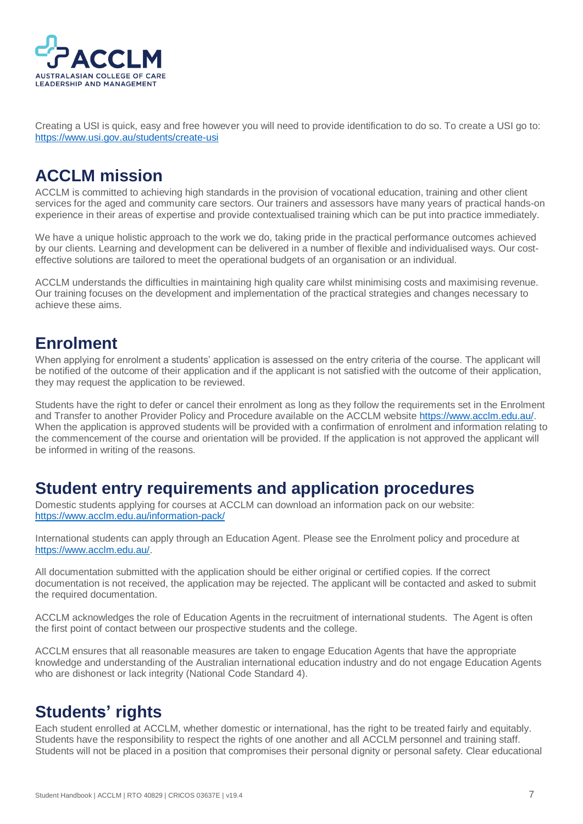

Creating a USI is quick, easy and free however you will need to provide identification to do so. To create a USI go to: <https://www.usi.gov.au/students/create-usi>

# <span id="page-7-0"></span>**ACCLM mission**

ACCLM is committed to achieving high standards in the provision of vocational education, training and other client services for the aged and community care sectors. Our trainers and assessors have many years of practical hands-on experience in their areas of expertise and provide contextualised training which can be put into practice immediately.

We have a unique holistic approach to the work we do, taking pride in the practical performance outcomes achieved by our clients. Learning and development can be delivered in a number of flexible and individualised ways. Our costeffective solutions are tailored to meet the operational budgets of an organisation or an individual.

ACCLM understands the difficulties in maintaining high quality care whilst minimising costs and maximising revenue. Our training focuses on the development and implementation of the practical strategies and changes necessary to achieve these aims.

# <span id="page-7-1"></span>**Enrolment**

When applying for enrolment a students' application is assessed on the entry criteria of the course. The applicant will be notified of the outcome of their application and if the applicant is not satisfied with the outcome of their application, they may request the application to be reviewed.

Students have the right to defer or cancel their enrolment as long as they follow the requirements set in the Enrolment and Transfer to another Provider Policy and Procedure available on the ACCLM website [https://www.acclm.edu.au/.](https://www.acclm.edu.au/) When the application is approved students will be provided with a confirmation of enrolment and information relating to the commencement of the course and orientation will be provided. If the application is not approved the applicant will be informed in writing of the reasons.

### <span id="page-7-2"></span>**Student entry requirements and application procedures**

Domestic students applying for courses at ACCLM can download an information pack on our website: <https://www.acclm.edu.au/information-pack/>

International students can apply through an Education Agent. Please see the Enrolment policy and procedure at [https://www.acclm.edu.au/.](https://www.acclm.edu.au/)

All documentation submitted with the application should be either original or certified copies. If the correct documentation is not received, the application may be rejected. The applicant will be contacted and asked to submit the required documentation.

ACCLM acknowledges the role of Education Agents in the recruitment of international students. The Agent is often the first point of contact between our prospective students and the college.

ACCLM ensures that all reasonable measures are taken to engage Education Agents that have the appropriate knowledge and understanding of the Australian international education industry and do not engage Education Agents who are dishonest or lack integrity (National Code Standard 4).

# <span id="page-7-3"></span>**Students' rights**

Each student enrolled at ACCLM, whether domestic or international, has the right to be treated fairly and equitably. Students have the responsibility to respect the rights of one another and all ACCLM personnel and training staff. Students will not be placed in a position that compromises their personal dignity or personal safety. Clear educational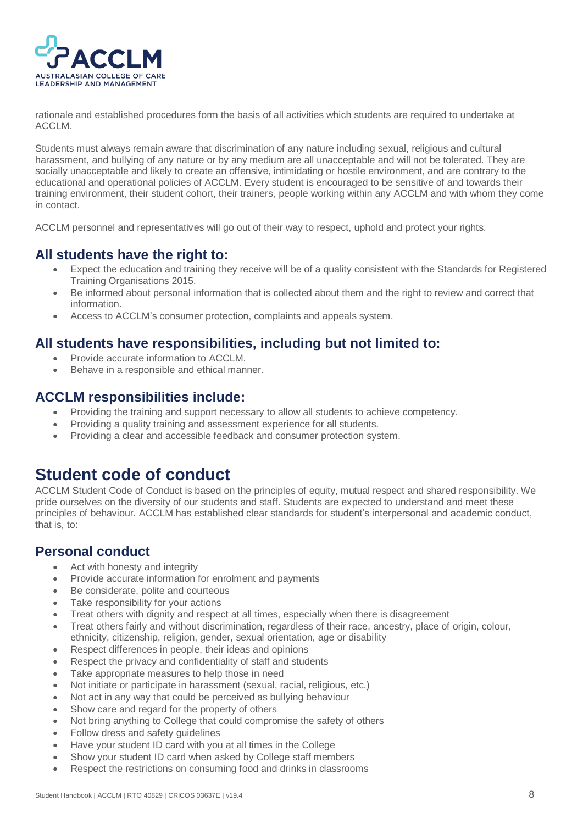

rationale and established procedures form the basis of all activities which students are required to undertake at ACCLM.

Students must always remain aware that discrimination of any nature including sexual, religious and cultural harassment, and bullying of any nature or by any medium are all unacceptable and will not be tolerated. They are socially unacceptable and likely to create an offensive, intimidating or hostile environment, and are contrary to the educational and operational policies of ACCLM. Every student is encouraged to be sensitive of and towards their training environment, their student cohort, their trainers, people working within any ACCLM and with whom they come in contact.

ACCLM personnel and representatives will go out of their way to respect, uphold and protect your rights.

### <span id="page-8-0"></span>**All students have the right to:**

- Expect the education and training they receive will be of a quality consistent with the Standards for Registered Training Organisations 2015.
- Be informed about personal information that is collected about them and the right to review and correct that information.
- Access to ACCLM's consumer protection, complaints and appeals system.

### <span id="page-8-1"></span>**All students have responsibilities, including but not limited to:**

- Provide accurate information to ACCLM.
- Behave in a responsible and ethical manner.

#### <span id="page-8-2"></span>**ACCLM responsibilities include:**

- Providing the training and support necessary to allow all students to achieve competency.
- Providing a quality training and assessment experience for all students.
- Providing a clear and accessible feedback and consumer protection system.

### <span id="page-8-3"></span>**Student code of conduct**

ACCLM Student Code of Conduct is based on the principles of equity, mutual respect and shared responsibility. We pride ourselves on the diversity of our students and staff. Students are expected to understand and meet these principles of behaviour. ACCLM has established clear standards for student's interpersonal and academic conduct, that is, to:

#### <span id="page-8-4"></span>**Personal conduct**

- Act with honesty and integrity
- Provide accurate information for enrolment and payments
- Be considerate, polite and courteous
- Take responsibility for your actions
- Treat others with dignity and respect at all times, especially when there is disagreement
- Treat others fairly and without discrimination, regardless of their race, ancestry, place of origin, colour, ethnicity, citizenship, religion, gender, sexual orientation, age or disability
- Respect differences in people, their ideas and opinions
- Respect the privacy and confidentiality of staff and students
- Take appropriate measures to help those in need
- Not initiate or participate in harassment (sexual, racial, religious, etc.)
- Not act in any way that could be perceived as bullying behaviour
- Show care and regard for the property of others
- Not bring anything to College that could compromise the safety of others
- Follow dress and safety guidelines
- Have your student ID card with you at all times in the College
- Show your student ID card when asked by College staff members
- Respect the restrictions on consuming food and drinks in classrooms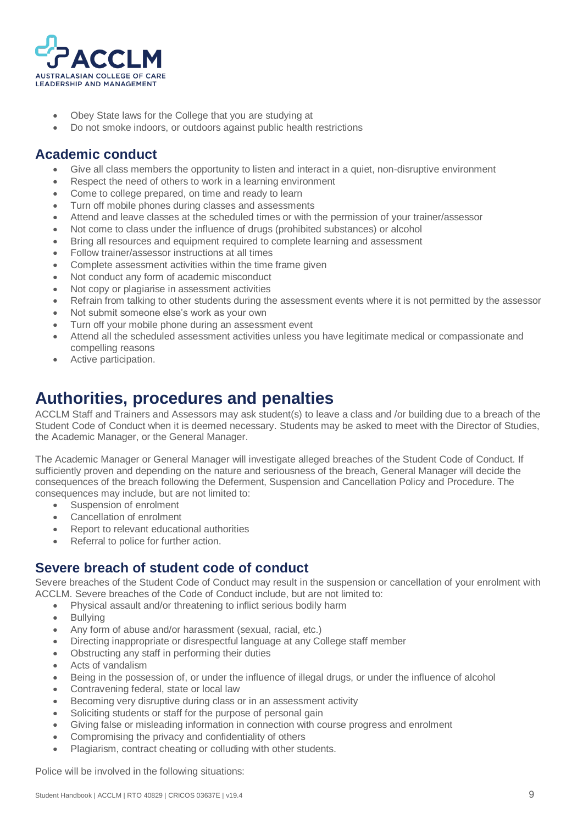

- Obey State laws for the College that you are studying at
- Do not smoke indoors, or outdoors against public health restrictions

### <span id="page-9-0"></span>**Academic conduct**

- Give all class members the opportunity to listen and interact in a quiet, non-disruptive environment
- Respect the need of others to work in a learning environment
- Come to college prepared, on time and ready to learn
- Turn off mobile phones during classes and assessments
- Attend and leave classes at the scheduled times or with the permission of your trainer/assessor
- Not come to class under the influence of drugs (prohibited substances) or alcohol
- Bring all resources and equipment required to complete learning and assessment
- Follow trainer/assessor instructions at all times
- Complete assessment activities within the time frame given
- Not conduct any form of academic misconduct
- Not copy or plagiarise in assessment activities
- Refrain from talking to other students during the assessment events where it is not permitted by the assessor
- Not submit someone else's work as your own
- Turn off your mobile phone during an assessment event
- Attend all the scheduled assessment activities unless you have legitimate medical or compassionate and compelling reasons
- Active participation.

### <span id="page-9-1"></span>**Authorities, procedures and penalties**

ACCLM Staff and Trainers and Assessors may ask student(s) to leave a class and /or building due to a breach of the Student Code of Conduct when it is deemed necessary. Students may be asked to meet with the Director of Studies, the Academic Manager, or the General Manager.

The Academic Manager or General Manager will investigate alleged breaches of the Student Code of Conduct. If sufficiently proven and depending on the nature and seriousness of the breach, General Manager will decide the consequences of the breach following the Deferment, Suspension and Cancellation Policy and Procedure. The consequences may include, but are not limited to:

- Suspension of enrolment
- Cancellation of enrolment
- Report to relevant educational authorities
- Referral to police for further action.

#### <span id="page-9-2"></span>**Severe breach of student code of conduct**

Severe breaches of the Student Code of Conduct may result in the suspension or cancellation of your enrolment with ACCLM. Severe breaches of the Code of Conduct include, but are not limited to:

- Physical assault and/or threatening to inflict serious bodily harm
- **Bullving**
- Any form of abuse and/or harassment (sexual, racial, etc.)
- Directing inappropriate or disrespectful language at any College staff member
- Obstructing any staff in performing their duties
- Acts of vandalism
- Being in the possession of, or under the influence of illegal drugs, or under the influence of alcohol
- Contravening federal, state or local law
- Becoming very disruptive during class or in an assessment activity
- Soliciting students or staff for the purpose of personal gain
- Giving false or misleading information in connection with course progress and enrolment
- Compromising the privacy and confidentiality of others
- Plagiarism, contract cheating or colluding with other students.

Police will be involved in the following situations: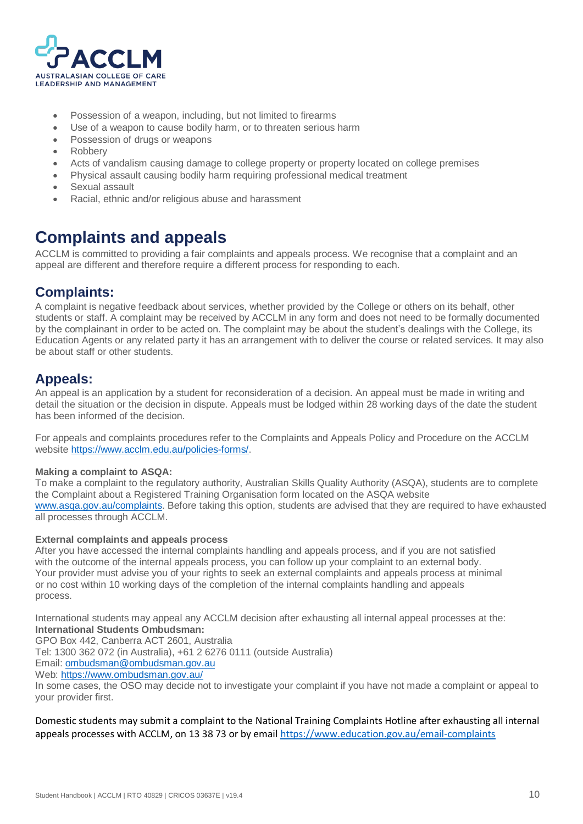

- Possession of a weapon, including, but not limited to firearms
- Use of a weapon to cause bodily harm, or to threaten serious harm
- Possession of drugs or weapons
- Robbery
- Acts of vandalism causing damage to college property or property located on college premises
- Physical assault causing bodily harm requiring professional medical treatment
- Sexual assault
- Racial, ethnic and/or religious abuse and harassment

# <span id="page-10-0"></span>**Complaints and appeals**

ACCLM is committed to providing a fair complaints and appeals process. We recognise that a complaint and an appeal are different and therefore require a different process for responding to each.

### <span id="page-10-1"></span>**Complaints:**

A complaint is negative feedback about services, whether provided by the College or others on its behalf, other students or staff. A complaint may be received by ACCLM in any form and does not need to be formally documented by the complainant in order to be acted on. The complaint may be about the student's dealings with the College, its Education Agents or any related party it has an arrangement with to deliver the course or related services. It may also be about staff or other students.

### <span id="page-10-2"></span>**Appeals:**

An appeal is an application by a student for reconsideration of a decision. An appeal must be made in writing and detail the situation or the decision in dispute. Appeals must be lodged within 28 working days of the date the student has been informed of the decision.

For appeals and complaints procedures refer to the Complaints and Appeals Policy and Procedure on the ACCLM website [https://www.acclm.edu.au/policies-forms/.](https://www.acclm.edu.au/policies-forms/)

#### **Making a complaint to ASQA:**

To make a complaint to the regulatory authority, Australian Skills Quality Authority (ASQA), students are to complete the Complaint about a Registered Training Organisation form located on the ASQA website [www.asqa.gov.au/complaints.](http://www.asqa.gov.au/complaints) Before taking this option, students are advised that they are required to have exhausted all processes through ACCLM.

#### **External complaints and appeals process**

After you have accessed the internal complaints handling and appeals process, and if you are not satisfied with the outcome of the internal appeals process, you can follow up your complaint to an external body. Your provider must advise you of your rights to seek an external complaints and appeals process at minimal or no cost within 10 working days of the completion of the internal complaints handling and appeals process.

International students may appeal any ACCLM decision after exhausting all internal appeal processes at the: **International Students Ombudsman:**

GPO Box 442, Canberra ACT 2601, Australia

Tel: 1300 362 072 (in Australia), +61 2 6276 0111 (outside Australia)

Email[: ombudsman@ombudsman.gov.au](mailto:ombudsman@ombudsman.gov.au)

Web:<https://www.ombudsman.gov.au/>

In some cases, the OSO may decide not to investigate your complaint if you have not made a complaint or appeal to your provider first.

Domestic students may submit a complaint to the National Training Complaints Hotline after exhausting all internal appeals processes with ACCLM, on 13 38 73 or by email<https://www.education.gov.au/email-complaints>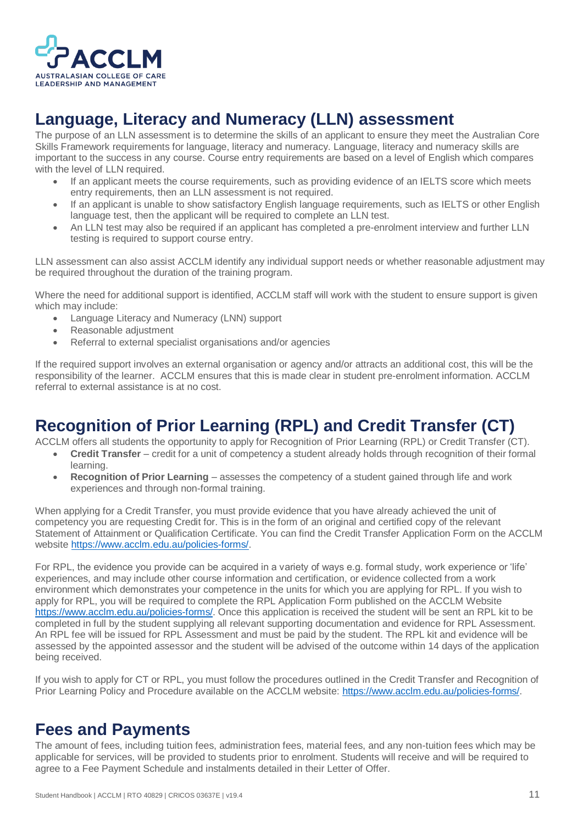

# <span id="page-11-0"></span>**Language, Literacy and Numeracy (LLN) assessment**

The purpose of an LLN assessment is to determine the skills of an applicant to ensure they meet the Australian Core Skills Framework requirements for language, literacy and numeracy. Language, literacy and numeracy skills are important to the success in any course. Course entry requirements are based on a level of English which compares with the level of LLN required.

- If an applicant meets the course requirements, such as providing evidence of an IELTS score which meets entry requirements, then an LLN assessment is not required.
- If an applicant is unable to show satisfactory English language requirements, such as IELTS or other English language test, then the applicant will be required to complete an LLN test.
- An LLN test may also be required if an applicant has completed a pre-enrolment interview and further LLN testing is required to support course entry.

LLN assessment can also assist ACCLM identify any individual support needs or whether reasonable adjustment may be required throughout the duration of the training program.

Where the need for additional support is identified, ACCLM staff will work with the student to ensure support is given which may include:

- Language Literacy and Numeracy (LNN) support
- Reasonable adjustment
- Referral to external specialist organisations and/or agencies

If the required support involves an external organisation or agency and/or attracts an additional cost, this will be the responsibility of the learner. ACCLM ensures that this is made clear in student pre-enrolment information. ACCLM referral to external assistance is at no cost.

# <span id="page-11-1"></span>**Recognition of Prior Learning (RPL) and Credit Transfer (CT)**

ACCLM offers all students the opportunity to apply for Recognition of Prior Learning (RPL) or Credit Transfer (CT).

- **Credit Transfer** credit for a unit of competency a student already holds through recognition of their formal learning.
- **Recognition of Prior Learning** assesses the competency of a student gained through life and work experiences and through non-formal training.

When applying for a Credit Transfer, you must provide evidence that you have already achieved the unit of competency you are requesting Credit for. This is in the form of an original and certified copy of the relevant Statement of Attainment or Qualification Certificate. You can find the Credit Transfer Application Form on the ACCLM website [https://www.acclm.edu.au/policies-forms/.](https://www.acclm.edu.au/policies-forms/)

For RPL, the evidence you provide can be acquired in a variety of ways e.g. formal study, work experience or 'life' experiences, and may include other course information and certification, or evidence collected from a work environment which demonstrates your competence in the units for which you are applying for RPL. If you wish to apply for RPL, you will be required to complete the RPL Application Form published on the ACCLM Website [https://www.acclm.edu.au/policies-forms/.](https://www.acclm.edu.au/policies-forms/) Once this application is received the student will be sent an RPL kit to be completed in full by the student supplying all relevant supporting documentation and evidence for RPL Assessment. An RPL fee will be issued for RPL Assessment and must be paid by the student. The RPL kit and evidence will be assessed by the appointed assessor and the student will be advised of the outcome within 14 days of the application being received.

If you wish to apply for CT or RPL, you must follow the procedures outlined in the Credit Transfer and Recognition of Prior Learning Policy and Procedure available on the ACCLM website: [https://www.acclm.edu.au/policies-forms/.](https://www.acclm.edu.au/policies-forms/)

### <span id="page-11-2"></span>**Fees and Payments**

The amount of fees, including tuition fees, administration fees, material fees, and any non-tuition fees which may be applicable for services, will be provided to students prior to enrolment. Students will receive and will be required to agree to a Fee Payment Schedule and instalments detailed in their Letter of Offer.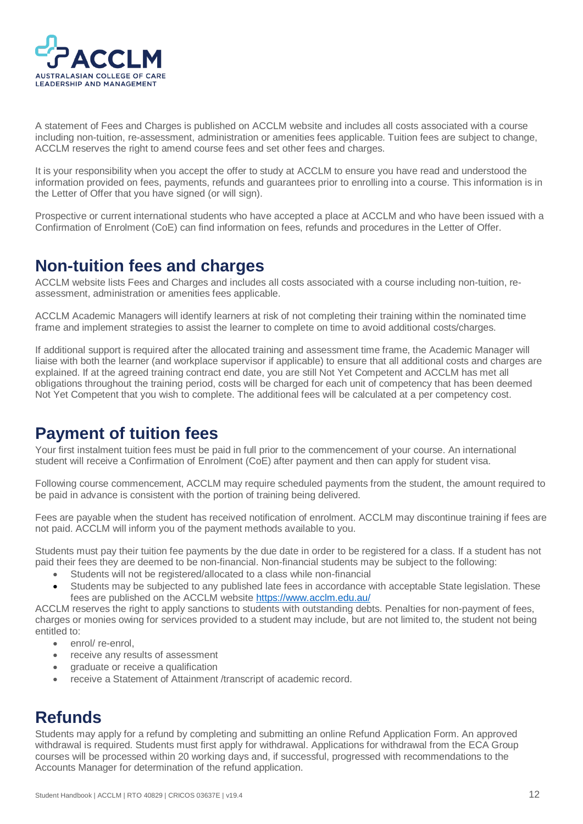

A statement of Fees and Charges is published on ACCLM website and includes all costs associated with a course including non-tuition, re-assessment, administration or amenities fees applicable. Tuition fees are subject to change, ACCLM reserves the right to amend course fees and set other fees and charges.

It is your responsibility when you accept the offer to study at ACCLM to ensure you have read and understood the information provided on fees, payments, refunds and guarantees prior to enrolling into a course. This information is in the Letter of Offer that you have signed (or will sign).

Prospective or current international students who have accepted a place at ACCLM and who have been issued with a Confirmation of Enrolment (CoE) can find information on fees, refunds and procedures in the Letter of Offer.

### <span id="page-12-0"></span>**Non-tuition fees and charges**

ACCLM website lists Fees and Charges and includes all costs associated with a course including non-tuition, reassessment, administration or amenities fees applicable.

ACCLM Academic Managers will identify learners at risk of not completing their training within the nominated time frame and implement strategies to assist the learner to complete on time to avoid additional costs/charges.

If additional support is required after the allocated training and assessment time frame, the Academic Manager will liaise with both the learner (and workplace supervisor if applicable) to ensure that all additional costs and charges are explained. If at the agreed training contract end date, you are still Not Yet Competent and ACCLM has met all obligations throughout the training period, costs will be charged for each unit of competency that has been deemed Not Yet Competent that you wish to complete. The additional fees will be calculated at a per competency cost.

# <span id="page-12-1"></span>**Payment of tuition fees**

Your first instalment tuition fees must be paid in full prior to the commencement of your course. An international student will receive a Confirmation of Enrolment (CoE) after payment and then can apply for student visa.

Following course commencement, ACCLM may require scheduled payments from the student, the amount required to be paid in advance is consistent with the portion of training being delivered.

Fees are payable when the student has received notification of enrolment. ACCLM may discontinue training if fees are not paid. ACCLM will inform you of the payment methods available to you.

Students must pay their tuition fee payments by the due date in order to be registered for a class. If a student has not paid their fees they are deemed to be non-financial. Non-financial students may be subject to the following:

- Students will not be registered/allocated to a class while non-financial
- Students may be subjected to any published late fees in accordance with acceptable State legislation. These fees are published on the ACCLM website<https://www.acclm.edu.au/>

ACCLM reserves the right to apply sanctions to students with outstanding debts. Penalties for non-payment of fees, charges or monies owing for services provided to a student may include, but are not limited to, the student not being entitled to:

- enrol/re-enrol.
- receive any results of assessment
- graduate or receive a qualification
- receive a Statement of Attainment /transcript of academic record.

### <span id="page-12-2"></span>**Refunds**

Students may apply for a refund by completing and submitting an online Refund Application Form. An approved withdrawal is required. Students must first apply for withdrawal. Applications for withdrawal from the ECA Group courses will be processed within 20 working days and, if successful, progressed with recommendations to the Accounts Manager for determination of the refund application.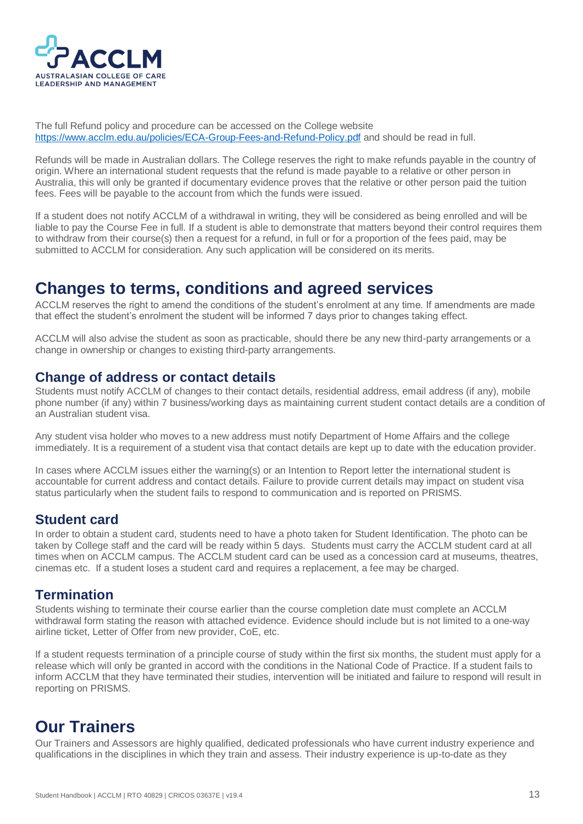

The full Refund policy and procedure can be accessed on the College website <https://www.acclm.edu.au/policies/ECA-Group-Fees-and-Refund-Policy.pdf> and should be read in full.

Refunds will be made in Australian dollars. The College reserves the right to make refunds payable in the country of origin. Where an international student requests that the refund is made payable to a relative or other person in Australia, this will only be granted if documentary evidence proves that the relative or other person paid the tuition fees. Fees will be payable to the account from which the funds were issued.

If a student does not notify ACCLM of a withdrawal in writing, they will be considered as being enrolled and will be liable to pay the Course Fee in full. If a student is able to demonstrate that matters beyond their control requires them to withdraw from their course(s) then a request for a refund, in full or for a proportion of the fees paid, may be submitted to ACCLM for consideration. Any such application will be considered on its merits.

### <span id="page-13-0"></span>**Changes to terms, conditions and agreed services**

ACCLM reserves the right to amend the conditions of the student's enrolment at any time. If amendments are made that effect the student's enrolment the student will be informed 7 days prior to changes taking effect.

ACCLM will also advise the student as soon as practicable, should there be any new third-party arrangements or a change in ownership or changes to existing third-party arrangements.

### <span id="page-13-1"></span>**Change of address or contact details**

Students must notify ACCLM of changes to their contact details, residential address, email address (if any), mobile phone number (if any) within 7 business/working days as maintaining current student contact details are a condition of an Australian student visa.

Any student visa holder who moves to a new address must notify Department of Home Affairs and the college immediately. It is a requirement of a student visa that contact details are kept up to date with the education provider.

In cases where ACCLM issues either the warning(s) or an Intention to Report letter the international student is accountable for current address and contact details. Failure to provide current details may impact on student visa status particularly when the student fails to respond to communication and is reported on PRISMS.

#### <span id="page-13-2"></span>**Student card**

In order to obtain a student card, students need to have a photo taken for Student Identification. The photo can be taken by College staff and the card will be ready within 5 days. Students must carry the ACCLM student card at all times when on ACCLM campus. The ACCLM student card can be used as a concession card at museums, theatres, cinemas etc. If a student loses a student card and requires a replacement, a fee may be charged.

#### <span id="page-13-3"></span>**Termination**

Students wishing to terminate their course earlier than the course completion date must complete an ACCLM withdrawal form stating the reason with attached evidence. Evidence should include but is not limited to a one-way airline ticket, Letter of Offer from new provider, CoE, etc.

If a student requests termination of a principle course of study within the first six months, the student must apply for a release which will only be granted in accord with the conditions in the National Code of Practice. If a student fails to inform ACCLM that they have terminated their studies, intervention will be initiated and failure to respond will result in reporting on PRISMS.

### <span id="page-13-4"></span>**Our Trainers**

Our Trainers and Assessors are highly qualified, dedicated professionals who have current industry experience and qualifications in the disciplines in which they train and assess. Their industry experience is up-to-date as they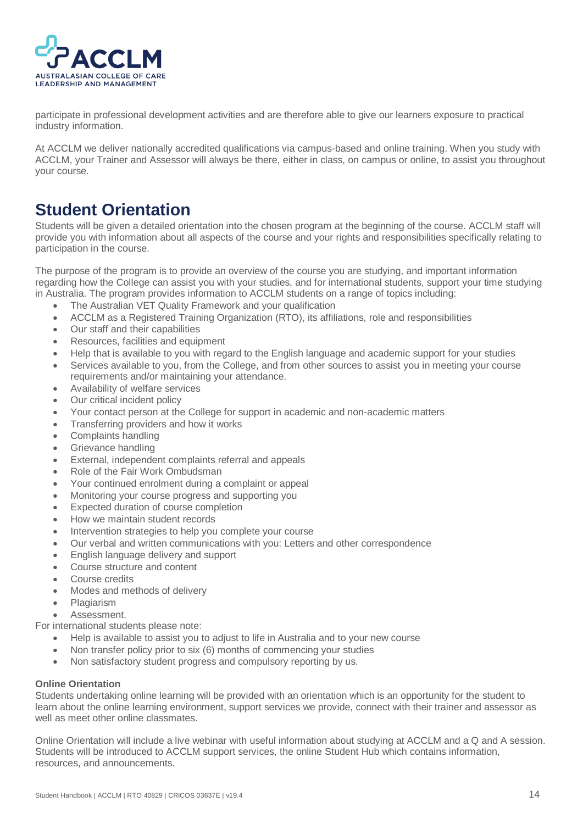

participate in professional development activities and are therefore able to give our learners exposure to practical industry information.

At ACCLM we deliver nationally accredited qualifications via campus-based and online training. When you study with ACCLM, your Trainer and Assessor will always be there, either in class, on campus or online, to assist you throughout your course.

### <span id="page-14-0"></span>**Student Orientation**

Students will be given a detailed orientation into the chosen program at the beginning of the course. ACCLM staff will provide you with information about all aspects of the course and your rights and responsibilities specifically relating to participation in the course.

The purpose of the program is to provide an overview of the course you are studying, and important information regarding how the College can assist you with your studies, and for international students, support your time studying in Australia. The program provides information to ACCLM students on a range of topics including:

- The Australian VET Quality Framework and your qualification
- ACCLM as a Registered Training Organization (RTO), its affiliations, role and responsibilities
- Our staff and their capabilities
- Resources, facilities and equipment
- Help that is available to you with regard to the English language and academic support for your studies
- Services available to you, from the College, and from other sources to assist you in meeting your course requirements and/or maintaining your attendance.
- Availability of welfare services
- Our critical incident policy
- Your contact person at the College for support in academic and non-academic matters
- Transferring providers and how it works
- Complaints handling
- Grievance handling
- External, independent complaints referral and appeals
- Role of the Fair Work Ombudsman
- Your continued enrolment during a complaint or appeal
- Monitoring your course progress and supporting you
- Expected duration of course completion
- How we maintain student records
- Intervention strategies to help you complete your course
- Our verbal and written communications with you: Letters and other correspondence
- English language delivery and support
- Course structure and content
- Course credits
- Modes and methods of delivery
- Plagiarism
- Assessment.

For international students please note:

- Help is available to assist you to adjust to life in Australia and to your new course
- Non transfer policy prior to six (6) months of commencing your studies
- Non satisfactory student progress and compulsory reporting by us.

#### **Online Orientation**

Students undertaking online learning will be provided with an orientation which is an opportunity for the student to learn about the online learning environment, support services we provide, connect with their trainer and assessor as well as meet other online classmates.

Online Orientation will include a live webinar with useful information about studying at ACCLM and a Q and A session. Students will be introduced to ACCLM support services, the online Student Hub which contains information, resources, and announcements.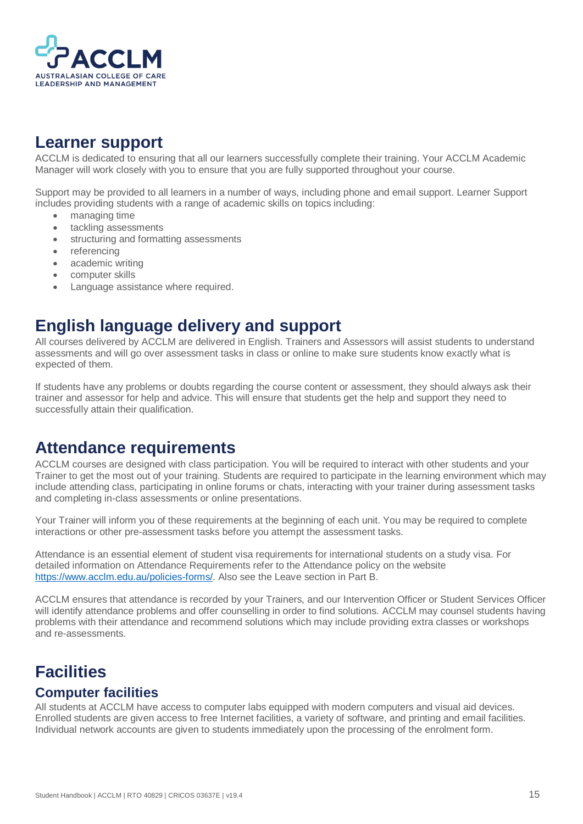

# <span id="page-15-0"></span>**Learner support**

ACCLM is dedicated to ensuring that all our learners successfully complete their training. Your ACCLM Academic Manager will work closely with you to ensure that you are fully supported throughout your course.

Support may be provided to all learners in a number of ways, including phone and email support. Learner Support includes providing students with a range of academic skills on topics including:

- managing time
- tackling assessments
- structuring and formatting assessments
- referencing
- academic writing
- computer skills
- Language assistance where required.

### <span id="page-15-1"></span>**English language delivery and support**

All courses delivered by ACCLM are delivered in English. Trainers and Assessors will assist students to understand assessments and will go over assessment tasks in class or online to make sure students know exactly what is expected of them.

If students have any problems or doubts regarding the course content or assessment, they should always ask their trainer and assessor for help and advice. This will ensure that students get the help and support they need to successfully attain their qualification.

### <span id="page-15-2"></span>**Attendance requirements**

ACCLM courses are designed with class participation. You will be required to interact with other students and your Trainer to get the most out of your training. Students are required to participate in the learning environment which may include attending class, participating in online forums or chats, interacting with your trainer during assessment tasks and completing in-class assessments or online presentations.

Your Trainer will inform you of these requirements at the beginning of each unit. You may be required to complete interactions or other pre-assessment tasks before you attempt the assessment tasks.

Attendance is an essential element of student visa requirements for international students on a study visa. For detailed information on Attendance Requirements refer to the Attendance policy on the website [https://www.acclm.edu.au/policies-forms/.](https://www.acclm.edu.au/policies-forms/) Also see the Leave section in Part B.

ACCLM ensures that attendance is recorded by your Trainers, and our Intervention Officer or Student Services Officer will identify attendance problems and offer counselling in order to find solutions. ACCLM may counsel students having problems with their attendance and recommend solutions which may include providing extra classes or workshops and re-assessments.

# <span id="page-15-3"></span>**Facilities**

### <span id="page-15-4"></span>**Computer facilities**

All students at ACCLM have access to computer labs equipped with modern computers and visual aid devices. Enrolled students are given access to free Internet facilities, a variety of software, and printing and email facilities. Individual network accounts are given to students immediately upon the processing of the enrolment form.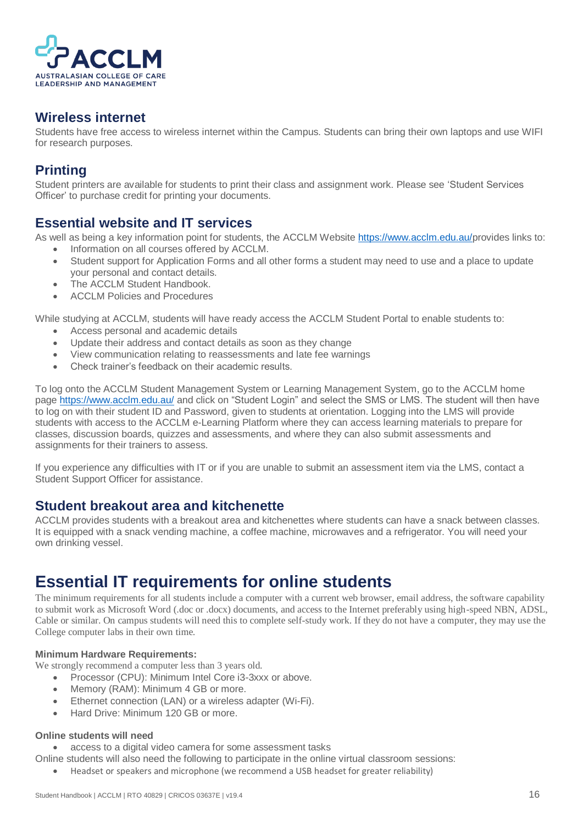

### <span id="page-16-0"></span>**Wireless internet**

Students have free access to wireless internet within the Campus. Students can bring their own laptops and use WIFI for research purposes.

### <span id="page-16-1"></span>**Printing**

Student printers are available for students to print their class and assignment work. Please see 'Student Services Officer' to purchase credit for printing your documents.

### <span id="page-16-2"></span>**Essential website and IT services**

As well as being a key information point for students, the ACCLM Websit[e https://www.acclm.edu.au/p](https://www.acclm.edu.au/)rovides links to: • Information on all courses offered by ACCLM.

- Student support for Application Forms and all other forms a student may need to use and a place to update your personal and contact details.
- The ACCLM Student Handbook.
- ACCLM Policies and Procedures

While studying at ACCLM, students will have ready access the ACCLM Student Portal to enable students to:

- Access personal and academic details
- Update their address and contact details as soon as they change
- View communication relating to reassessments and late fee warnings
- Check trainer's feedback on their academic results.

To log onto the ACCLM Student Management System or Learning Management System, go to the ACCLM home page<https://www.acclm.edu.au/> and click on "Student Login" and select the SMS or LMS. The student will then have to log on with their student ID and Password, given to students at orientation. Logging into the LMS will provide students with access to the ACCLM e-Learning Platform where they can access learning materials to prepare for classes, discussion boards, quizzes and assessments, and where they can also submit assessments and assignments for their trainers to assess.

If you experience any difficulties with IT or if you are unable to submit an assessment item via the LMS, contact a Student Support Officer for assistance.

#### <span id="page-16-3"></span>**Student breakout area and kitchenette**

ACCLM provides students with a breakout area and kitchenettes where students can have a snack between classes. It is equipped with a snack vending machine, a coffee machine, microwaves and a refrigerator. You will need your own drinking vessel.

# <span id="page-16-4"></span>**Essential IT requirements for online students**

The minimum requirements for all students include a computer with a current web browser, email address, the software capability to submit work as Microsoft Word (.doc or .docx) documents, and access to the Internet preferably using high-speed NBN, ADSL, Cable or similar. On campus students will need this to complete self-study work. If they do not have a computer, they may use the College computer labs in their own time.

#### **Minimum Hardware Requirements:**

We strongly recommend a computer less than 3 years old.

- Processor (CPU): Minimum Intel Core i3-3xxx or above.
- Memory (RAM): Minimum 4 GB or more.
- Ethernet connection (LAN) or a wireless adapter (Wi-Fi).
- Hard Drive: Minimum 120 GB or more.

#### **Online students will need**

• access to a digital video camera for some assessment tasks

Online students will also need the following to participate in the online virtual classroom sessions:

• Headset or speakers and microphone (we recommend a USB headset for greater reliability)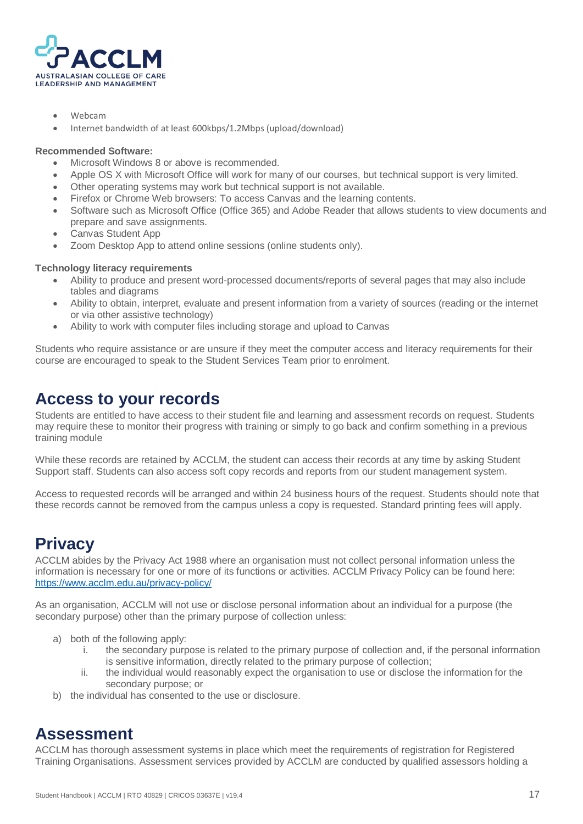

- Webcam
- Internet bandwidth of at least 600kbps/1.2Mbps (upload/download)

#### **Recommended Software:**

- Microsoft Windows 8 or above is recommended.
- Apple OS X with Microsoft Office will work for many of our courses, but technical support is very limited.
- Other operating systems may work but technical support is not available.
- Firefox or Chrome Web browsers: To access Canvas and the learning contents.
- Software such as Microsoft Office (Office 365) and Adobe Reader that allows students to view documents and prepare and save assignments.
- Canvas Student App
- Zoom Desktop App to attend online sessions (online students only).

#### **Technology literacy requirements**

- Ability to produce and present word-processed documents/reports of several pages that may also include tables and diagrams
- Ability to obtain, interpret, evaluate and present information from a variety of sources (reading or the internet or via other assistive technology)
- Ability to work with computer files including storage and upload to Canvas

Students who require assistance or are unsure if they meet the computer access and literacy requirements for their course are encouraged to speak to the Student Services Team prior to enrolment.

### <span id="page-17-0"></span>**Access to your records**

Students are entitled to have access to their student file and learning and assessment records on request. Students may require these to monitor their progress with training or simply to go back and confirm something in a previous training module

While these records are retained by ACCLM, the student can access their records at any time by asking Student Support staff. Students can also access soft copy records and reports from our student management system.

Access to requested records will be arranged and within 24 business hours of the request. Students should note that these records cannot be removed from the campus unless a copy is requested. Standard printing fees will apply.

# <span id="page-17-1"></span>**Privacy**

ACCLM abides by the Privacy Act 1988 where an organisation must not collect personal information unless the information is necessary for one or more of its functions or activities. ACCLM Privacy Policy can be found here: <https://www.acclm.edu.au/privacy-policy/>

As an organisation, ACCLM will not use or disclose personal information about an individual for a purpose (the secondary purpose) other than the primary purpose of collection unless:

- a) both of the following apply:
	- i. the secondary purpose is related to the primary purpose of collection and, if the personal information is sensitive information, directly related to the primary purpose of collection;
	- ii. the individual would reasonably expect the organisation to use or disclose the information for the secondary purpose; or
- b) the individual has consented to the use or disclosure.

### <span id="page-17-2"></span>**Assessment**

ACCLM has thorough assessment systems in place which meet the requirements of registration for Registered Training Organisations. Assessment services provided by ACCLM are conducted by qualified assessors holding a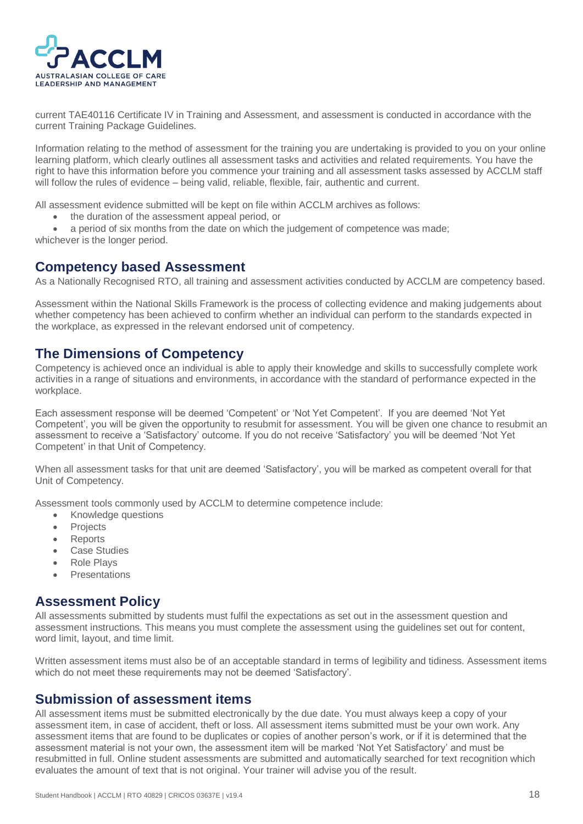

current TAE40116 Certificate IV in Training and Assessment, and assessment is conducted in accordance with the current Training Package Guidelines.

Information relating to the method of assessment for the training you are undertaking is provided to you on your online learning platform, which clearly outlines all assessment tasks and activities and related requirements. You have the right to have this information before you commence your training and all assessment tasks assessed by ACCLM staff will follow the rules of evidence – being valid, reliable, flexible, fair, authentic and current.

All assessment evidence submitted will be kept on file within ACCLM archives as follows:

• the duration of the assessment appeal period, or

• a period of six months from the date on which the judgement of competence was made; whichever is the longer period.

#### <span id="page-18-0"></span>**Competency based Assessment**

As a Nationally Recognised RTO, all training and assessment activities conducted by ACCLM are competency based.

Assessment within the National Skills Framework is the process of collecting evidence and making judgements about whether competency has been achieved to confirm whether an individual can perform to the standards expected in the workplace, as expressed in the relevant endorsed unit of competency.

### <span id="page-18-1"></span>**The Dimensions of Competency**

Competency is achieved once an individual is able to apply their knowledge and skills to successfully complete work activities in a range of situations and environments, in accordance with the standard of performance expected in the workplace.

Each assessment response will be deemed 'Competent' or 'Not Yet Competent'. If you are deemed 'Not Yet Competent', you will be given the opportunity to resubmit for assessment. You will be given one chance to resubmit an assessment to receive a 'Satisfactory' outcome. If you do not receive 'Satisfactory' you will be deemed 'Not Yet Competent' in that Unit of Competency.

When all assessment tasks for that unit are deemed 'Satisfactory', you will be marked as competent overall for that Unit of Competency.

Assessment tools commonly used by ACCLM to determine competence include:

- Knowledge questions
- **Projects**
- **Reports**
- Case Studies
- Role Plays
- **Presentations**

#### <span id="page-18-2"></span>**Assessment Policy**

All assessments submitted by students must fulfil the expectations as set out in the assessment question and assessment instructions. This means you must complete the assessment using the guidelines set out for content, word limit, layout, and time limit.

Written assessment items must also be of an acceptable standard in terms of legibility and tidiness. Assessment items which do not meet these requirements may not be deemed 'Satisfactory'.

### <span id="page-18-3"></span>**Submission of assessment items**

All assessment items must be submitted electronically by the due date. You must always keep a copy of your assessment item, in case of accident, theft or loss. All assessment items submitted must be your own work. Any assessment items that are found to be duplicates or copies of another person's work, or if it is determined that the assessment material is not your own, the assessment item will be marked 'Not Yet Satisfactory' and must be resubmitted in full. Online student assessments are submitted and automatically searched for text recognition which evaluates the amount of text that is not original. Your trainer will advise you of the result.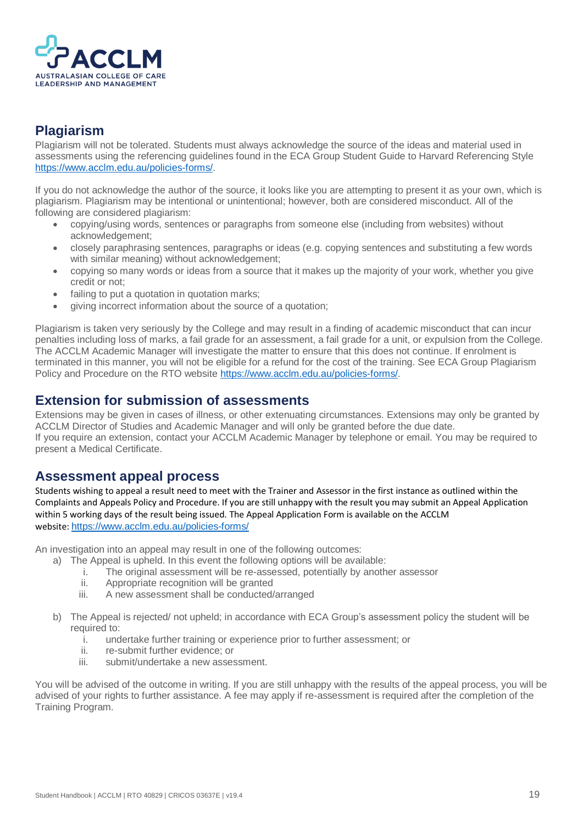

### <span id="page-19-0"></span>**Plagiarism**

Plagiarism will not be tolerated. Students must always acknowledge the source of the ideas and material used in assessments using the referencing guidelines found in the ECA Group Student Guide to Harvard Referencing Style [https://www.acclm.edu.au/policies-forms/.](https://www.acclm.edu.au/policies-forms/)

If you do not acknowledge the author of the source, it looks like you are attempting to present it as your own, which is plagiarism. Plagiarism may be intentional or unintentional; however, both are considered misconduct. All of the following are considered plagiarism:

- copying/using words, sentences or paragraphs from someone else (including from websites) without acknowledgement;
- closely paraphrasing sentences, paragraphs or ideas (e.g. copying sentences and substituting a few words with similar meaning) without acknowledgement;
- copying so many words or ideas from a source that it makes up the majority of your work, whether you give credit or not;
- failing to put a quotation in quotation marks:
- giving incorrect information about the source of a quotation;

Plagiarism is taken very seriously by the College and may result in a finding of academic misconduct that can incur penalties including loss of marks, a fail grade for an assessment, a fail grade for a unit, or expulsion from the College. The ACCLM Academic Manager will investigate the matter to ensure that this does not continue. If enrolment is terminated in this manner, you will not be eligible for a refund for the cost of the training. See ECA Group Plagiarism Policy and Procedure on the RTO website [https://www.acclm.edu.au/policies-forms/.](https://www.acclm.edu.au/policies-forms/)

#### <span id="page-19-1"></span>**Extension for submission of assessments**

Extensions may be given in cases of illness, or other extenuating circumstances. Extensions may only be granted by ACCLM Director of Studies and Academic Manager and will only be granted before the due date. If you require an extension, contact your ACCLM Academic Manager by telephone or email. You may be required to present a Medical Certificate.

### <span id="page-19-2"></span>**Assessment appeal process**

Students wishing to appeal a result need to meet with the Trainer and Assessor in the first instance as outlined within the Complaints and Appeals Policy and Procedure. If you are still unhappy with the result you may submit an Appeal Application within 5 working days of the result being issued. The Appeal Application Form is available on the ACCLM website: <https://www.acclm.edu.au/policies-forms/>

An investigation into an appeal may result in one of the following outcomes:

- a) The Appeal is upheld. In this event the following options will be available:
	- i. The original assessment will be re-assessed, potentially by another assessor
	- ii. Appropriate recognition will be granted
	- iii. A new assessment shall be conducted/arranged
- b) The Appeal is rejected/ not upheld; in accordance with ECA Group's assessment policy the student will be required to:
	- i. undertake further training or experience prior to further assessment; or
	- ii. re-submit further evidence; or
	- iii. submit/undertake a new assessment.

You will be advised of the outcome in writing. If you are still unhappy with the results of the appeal process, you will be advised of your rights to further assistance. A fee may apply if re-assessment is required after the completion of the Training Program.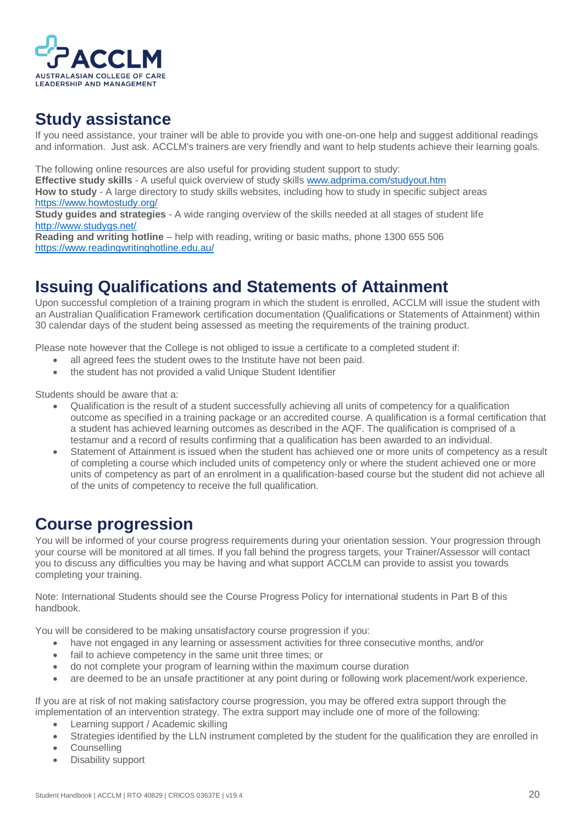

### <span id="page-20-0"></span>**Study assistance**

If you need assistance, your trainer will be able to provide you with one-on-one help and suggest additional readings and information. Just ask. ACCLM's trainers are very friendly and want to help students achieve their learning goals.

The following online resources are also useful for providing student support to study:

**Effective study skills** - A useful quick overview of study skills [www.adprima.com/studyout.htm](http://www.adprima.com/studyout.htm)

**How to study** - A large directory to study skills websites, including how to study in specific subject areas <https://www.howtostudy.org/>

**Study guides and strategies** - A wide ranging overview of the skills needed at all stages of student life <http://www.studygs.net/>

**Reading and writing hotline** – help with reading, writing or basic maths, phone 1300 655 506 <https://www.readingwritinghotline.edu.au/>

# <span id="page-20-1"></span>**Issuing Qualifications and Statements of Attainment**

Upon successful completion of a training program in which the student is enrolled, ACCLM will issue the student with an Australian Qualification Framework certification documentation (Qualifications or Statements of Attainment) within 30 calendar days of the student being assessed as meeting the requirements of the training product.

Please note however that the College is not obliged to issue a certificate to a completed student if:

- all agreed fees the student owes to the Institute have not been paid.
- the student has not provided a valid Unique Student Identifier

Students should be aware that a:

- Qualification is the result of a student successfully achieving all units of competency for a qualification outcome as specified in a training package or an accredited course. A qualification is a formal certification that a student has achieved learning outcomes as described in the AQF. The qualification is comprised of a testamur and a record of results confirming that a qualification has been awarded to an individual.
- Statement of Attainment is issued when the student has achieved one or more units of competency as a result of completing a course which included units of competency only or where the student achieved one or more units of competency as part of an enrolment in a qualification-based course but the student did not achieve all of the units of competency to receive the full qualification.

# <span id="page-20-2"></span>**Course progression**

You will be informed of your course progress requirements during your orientation session. Your progression through your course will be monitored at all times. If you fall behind the progress targets, your Trainer/Assessor will contact you to discuss any difficulties you may be having and what support ACCLM can provide to assist you towards completing your training.

Note: International Students should see the Course Progress Policy for international students in Part B of this handbook.

You will be considered to be making unsatisfactory course progression if you:

- have not engaged in any learning or assessment activities for three consecutive months, and/or
- fail to achieve competency in the same unit three times; or
- do not complete your program of learning within the maximum course duration
- are deemed to be an unsafe practitioner at any point during or following work placement/work experience.

If you are at risk of not making satisfactory course progression, you may be offered extra support through the implementation of an intervention strategy. The extra support may include one of more of the following:

- Learning support / Academic skilling
- Strategies identified by the LLN instrument completed by the student for the qualification they are enrolled in
- Counselling
- Disability support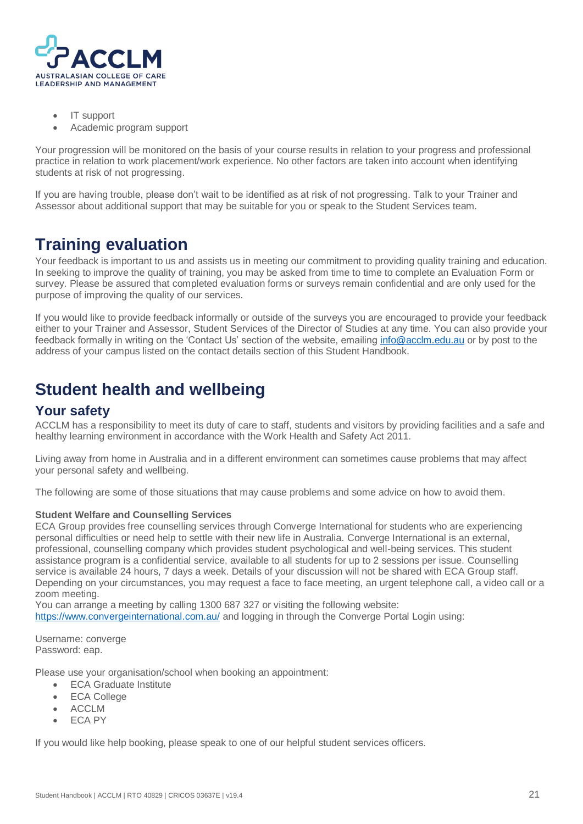

- IT support
- Academic program support

Your progression will be monitored on the basis of your course results in relation to your progress and professional practice in relation to work placement/work experience. No other factors are taken into account when identifying students at risk of not progressing.

If you are having trouble, please don't wait to be identified as at risk of not progressing. Talk to your Trainer and Assessor about additional support that may be suitable for you or speak to the Student Services team.

# <span id="page-21-0"></span>**Training evaluation**

Your feedback is important to us and assists us in meeting our commitment to providing quality training and education. In seeking to improve the quality of training, you may be asked from time to time to complete an Evaluation Form or survey. Please be assured that completed evaluation forms or surveys remain confidential and are only used for the purpose of improving the quality of our services.

If you would like to provide feedback informally or outside of the surveys you are encouraged to provide your feedback either to your Trainer and Assessor, Student Services of the Director of Studies at any time. You can also provide your feedback formally in writing on the 'Contact Us' section of the website, emailing [info@acclm.edu.au](mailto:info@acclm.edu.au) or by post to the address of your campus listed on the contact details section of this Student Handbook.

# <span id="page-21-1"></span>**Student health and wellbeing**

#### <span id="page-21-2"></span>**Your safety**

ACCLM has a responsibility to meet its duty of care to staff, students and visitors by providing facilities and a safe and healthy learning environment in accordance with the Work Health and Safety Act 2011.

Living away from home in Australia and in a different environment can sometimes cause problems that may affect your personal safety and wellbeing.

The following are some of those situations that may cause problems and some advice on how to avoid them.

#### **Student Welfare and Counselling Services**

ECA Group provides free counselling services through Converge International for students who are experiencing personal difficulties or need help to settle with their new life in Australia. Converge International is an external, professional, counselling company which provides student psychological and well-being services. This student assistance program is a confidential service, available to all students for up to 2 sessions per issue. Counselling service is available 24 hours, 7 days a week. Details of your discussion will not be shared with ECA Group staff. Depending on your circumstances, you may request a face to face meeting, an urgent telephone call, a video call or a zoom meeting.

You can arrange a meeting by calling 1300 687 327 or visiting the following website: <https://www.convergeinternational.com.au/> and logging in through the Converge Portal Login using:

Username: converge Password: eap.

Please use your organisation/school when booking an appointment:

- ECA Graduate Institute
- **ECA College**
- ACCLM
- ECA PY

If you would like help booking, please speak to one of our helpful student services officers.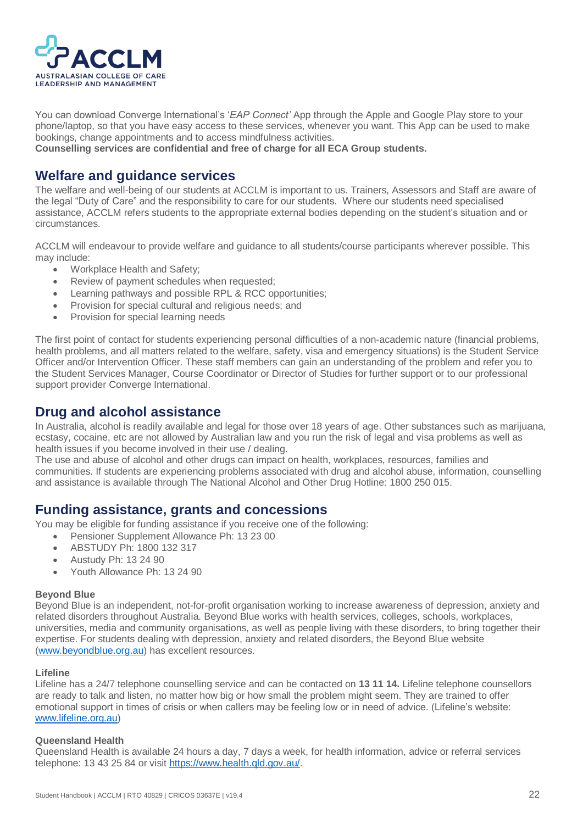

You can download Converge International's '*EAP Connect'* App through the Apple and Google Play store to your phone/laptop, so that you have easy access to these services, whenever you want. This App can be used to make bookings, change appointments and to access mindfulness activities.

**Counselling services are confidential and free of charge for all ECA Group students.** 

#### <span id="page-22-0"></span>**Welfare and guidance services**

The welfare and well-being of our students at ACCLM is important to us. Trainers, Assessors and Staff are aware of the legal "Duty of Care" and the responsibility to care for our students. Where our students need specialised assistance, ACCLM refers students to the appropriate external bodies depending on the student's situation and or circumstances.

ACCLM will endeavour to provide welfare and guidance to all students/course participants wherever possible. This may include:

- Workplace Health and Safety;
- Review of payment schedules when requested;
- Learning pathways and possible RPL & RCC opportunities;
- Provision for special cultural and religious needs; and
- Provision for special learning needs

The first point of contact for students experiencing personal difficulties of a non-academic nature (financial problems, health problems, and all matters related to the welfare, safety, visa and emergency situations) is the Student Service Officer and/or Intervention Officer. These staff members can gain an understanding of the problem and refer you to the Student Services Manager, Course Coordinator or Director of Studies for further support or to our professional support provider Converge International.

### <span id="page-22-1"></span>**Drug and alcohol assistance**

In Australia, alcohol is readily available and legal for those over 18 years of age. Other substances such as marijuana, ecstasy, cocaine, etc are not allowed by Australian law and you run the risk of legal and visa problems as well as health issues if you become involved in their use / dealing.

The use and abuse of alcohol and other drugs can impact on health, workplaces, resources, families and communities. If students are experiencing problems associated with drug and alcohol abuse, information, counselling and assistance is available through The National Alcohol and Other Drug Hotline: 1800 250 015.

### <span id="page-22-2"></span>**Funding assistance, grants and concessions**

You may be eligible for funding assistance if you receive one of the following:

- Pensioner Supplement Allowance Ph: 13 23 00
- ABSTUDY Ph: 1800 132 317
- Austudy Ph: 13 24 90
- Youth Allowance Ph: 13 24 90

#### **Beyond Blue**

Beyond Blue is an independent, not-for-profit organisation working to increase awareness of depression, anxiety and related disorders throughout Australia. Beyond Blue works with health services, colleges, schools, workplaces, universities, media and community organisations, as well as people living with these disorders, to bring together their expertise. For students dealing with depression, anxiety and related disorders, the Beyond Blue website [\(www.beyondblue.org.au\)](https://www.beyondblue.org.au/) has excellent resources.

#### **Lifeline**

Lifeline has a 24/7 telephone counselling service and can be contacted on **13 11 14.** Lifeline telephone counsellors are ready to talk and listen, no matter how big or how small the problem might seem. They are trained to offer emotional support in times of crisis or when callers may be feeling low or in need of advice. (Lifeline's website: [www.lifeline.org.au\)](https://www.lifeline.org.au/)

#### **Queensland Health**

Queensland Health is available 24 hours a day, 7 days a week, for health information, advice or referral services telephone: 13 43 25 84 or visit [https://www.health.qld.gov.au/.](https://www.health.qld.gov.au/)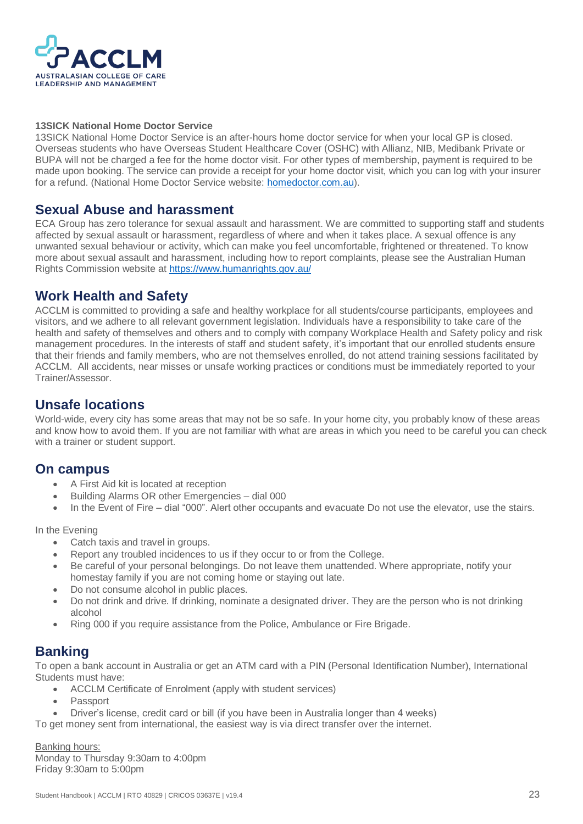

#### **13SICK National Home Doctor Service**

13SICK National Home Doctor Service is an after-hours home doctor service for when your local GP is closed. Overseas students who have Overseas Student Healthcare Cover (OSHC) with Allianz, NIB, Medibank Private or BUPA will not be charged a fee for the home doctor visit. For other types of membership, payment is required to be made upon booking. The service can provide a receipt for your home doctor visit, which you can log with your insurer for a refund. (National Home Doctor Service website: [homedoctor.com.au\)](https://homedoctor.com.au/).

#### <span id="page-23-0"></span>**Sexual Abuse and harassment**

ECA Group has zero tolerance for sexual assault and harassment. We are committed to supporting staff and students affected by sexual assault or harassment, regardless of where and when it takes place. A sexual offence is any unwanted sexual behaviour or activity, which can make you feel uncomfortable, frightened or threatened. To know more about sexual assault and harassment, including how to report complaints, please see the Australian Human Rights Commission website a[t https://www.humanrights.gov.au/](https://www.humanrights.gov.au/)

### <span id="page-23-1"></span>**Work Health and Safety**

ACCLM is committed to providing a safe and healthy workplace for all students/course participants, employees and visitors, and we adhere to all relevant government legislation. Individuals have a responsibility to take care of the health and safety of themselves and others and to comply with company Workplace Health and Safety policy and risk management procedures. In the interests of staff and student safety, it's important that our enrolled students ensure that their friends and family members, who are not themselves enrolled, do not attend training sessions facilitated by ACCLM. All accidents, near misses or unsafe working practices or conditions must be immediately reported to your Trainer/Assessor.

#### <span id="page-23-2"></span>**Unsafe locations**

World-wide, every city has some areas that may not be so safe. In your home city, you probably know of these areas and know how to avoid them. If you are not familiar with what are areas in which you need to be careful you can check with a trainer or student support.

#### <span id="page-23-3"></span>**On campus**

- A First Aid kit is located at reception
- Building Alarms OR other Emergencies dial 000
- In the Event of Fire dial "000". Alert other occupants and evacuate Do not use the elevator, use the stairs.

In the Evening

- Catch taxis and travel in groups.
- Report any troubled incidences to us if they occur to or from the College.
- Be careful of your personal belongings. Do not leave them unattended. Where appropriate, notify your homestay family if you are not coming home or staying out late.
- Do not consume alcohol in public places.
- Do not drink and drive. If drinking, nominate a designated driver. They are the person who is not drinking alcohol
- Ring 000 if you require assistance from the Police, Ambulance or Fire Brigade.

### <span id="page-23-4"></span>**Banking**

To open a bank account in Australia or get an ATM card with a PIN (Personal Identification Number), International Students must have:

- ACCLM Certificate of Enrolment (apply with student services)
- Passport
- Driver's license, credit card or bill (if you have been in Australia longer than 4 weeks)

To get money sent from international, the easiest way is via direct transfer over the internet.

Banking hours: Monday to Thursday 9:30am to 4:00pm Friday 9:30am to 5:00pm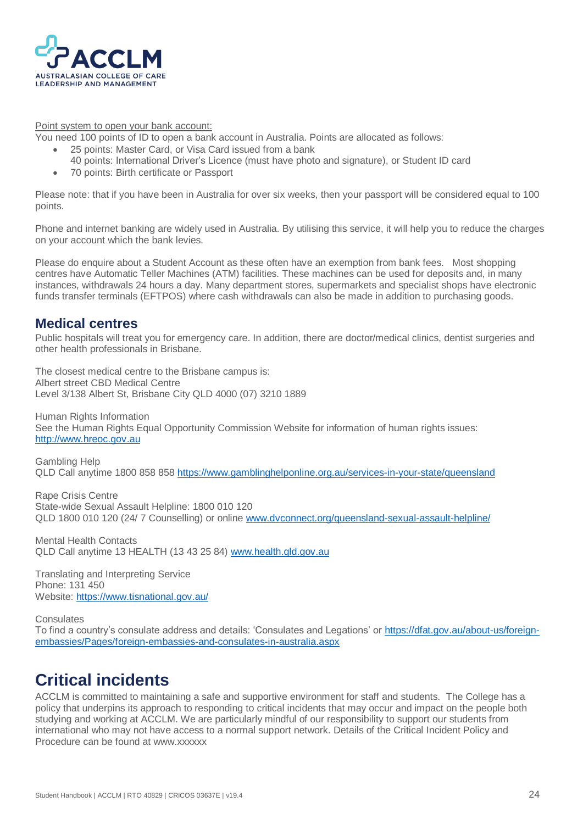

Point system to open your bank account:

You need 100 points of ID to open a bank account in Australia. Points are allocated as follows:

- 25 points: Master Card, or Visa Card issued from a bank
	- 40 points: International Driver's Licence (must have photo and signature), or Student ID card
- 70 points: Birth certificate or Passport

Please note: that if you have been in Australia for over six weeks, then your passport will be considered equal to 100 points.

Phone and internet banking are widely used in Australia. By utilising this service, it will help you to reduce the charges on your account which the bank levies.

Please do enquire about a Student Account as these often have an exemption from bank fees. Most shopping centres have Automatic Teller Machines (ATM) facilities. These machines can be used for deposits and, in many instances, withdrawals 24 hours a day. Many department stores, supermarkets and specialist shops have electronic funds transfer terminals (EFTPOS) where cash withdrawals can also be made in addition to purchasing goods.

#### <span id="page-24-0"></span>**Medical centres**

Public hospitals will treat you for emergency care. In addition, there are doctor/medical clinics, dentist surgeries and other health professionals in Brisbane.

The closest medical centre to the Brisbane campus is: Albert street CBD Medical Centre Level 3/138 Albert St, Brisbane City QLD 4000 (07) 3210 1889

Human Rights Information See the Human Rights Equal Opportunity Commission Website for information of human rights issues: [http://www.hreoc.gov.au](http://www.hreoc.gov.au/)

Gambling Help QLD Call anytime 1800 858 858<https://www.gamblinghelponline.org.au/services-in-your-state/queensland>

Rape Crisis Centre State-wide Sexual Assault Helpline: 1800 010 120 QLD 1800 010 120 (24/ 7 Counselling) or online [www.dvconnect.org/queensland-sexual-assault-helpline/](http://www.dvconnect.org/queensland-sexual-assault-helpline/)

Mental Health Contacts QLD Call anytime 13 HEALTH (13 43 25 84) [www.health.qld.gov.au](http://www.health.qld.gov.au/)

Translating and Interpreting Service Phone: 131 450 Website[: https://www.tisnational.gov.au/](https://www.tisnational.gov.au/)

**Consulates** 

To find a country's consulate address and details: 'Consulates and Legations' or [https://dfat.gov.au/about-us/foreign](https://dfat.gov.au/about-us/foreign-embassies/Pages/foreign-embassies-and-consulates-in-australia.aspx)[embassies/Pages/foreign-embassies-and-consulates-in-australia.aspx](https://dfat.gov.au/about-us/foreign-embassies/Pages/foreign-embassies-and-consulates-in-australia.aspx)

# <span id="page-24-1"></span>**Critical incidents**

ACCLM is committed to maintaining a safe and supportive environment for staff and students. The College has a policy that underpins its approach to responding to critical incidents that may occur and impact on the people both studying and working at ACCLM. We are particularly mindful of our responsibility to support our students from international who may not have access to a normal support network. Details of the Critical Incident Policy and Procedure can be found at www.xxxxxx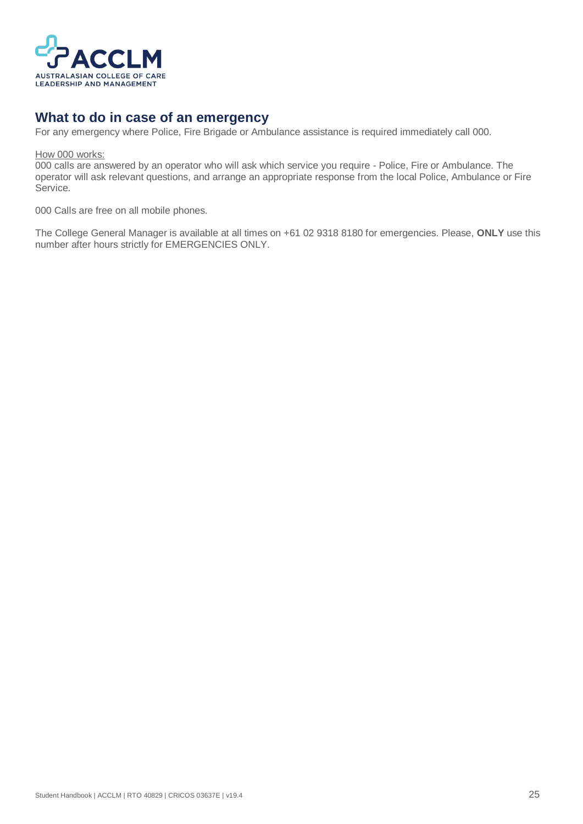

### <span id="page-25-0"></span>**What to do in case of an emergency**

For any emergency where Police, Fire Brigade or Ambulance assistance is required immediately call 000.

How 000 works:

000 calls are answered by an operator who will ask which service you require - Police, Fire or Ambulance. The operator will ask relevant questions, and arrange an appropriate response from the local Police, Ambulance or Fire Service.

000 Calls are free on all mobile phones.

The College General Manager is available at all times on +61 02 9318 8180 for emergencies. Please, **ONLY** use this number after hours strictly for EMERGENCIES ONLY.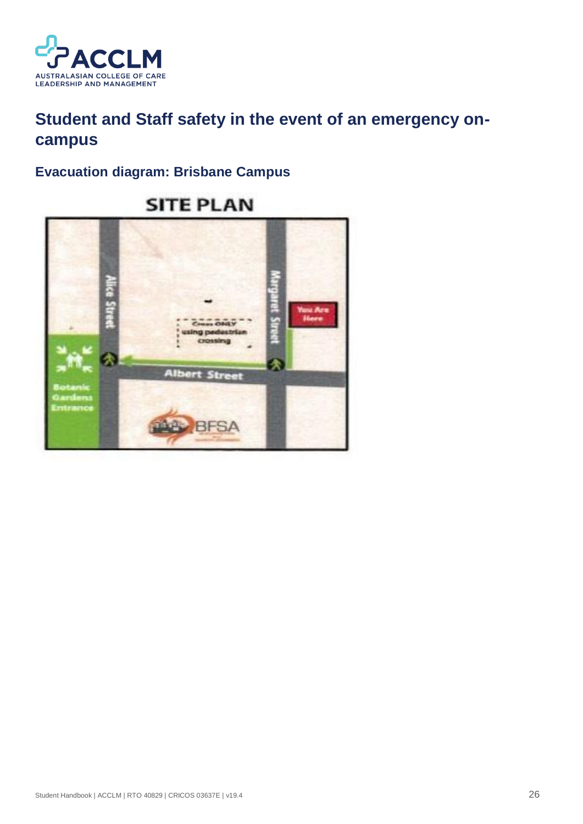

# <span id="page-26-0"></span>**Student and Staff safety in the event of an emergency oncampus**

### <span id="page-26-1"></span>**Evacuation diagram: Brisbane Campus**



# **SITE PLAN**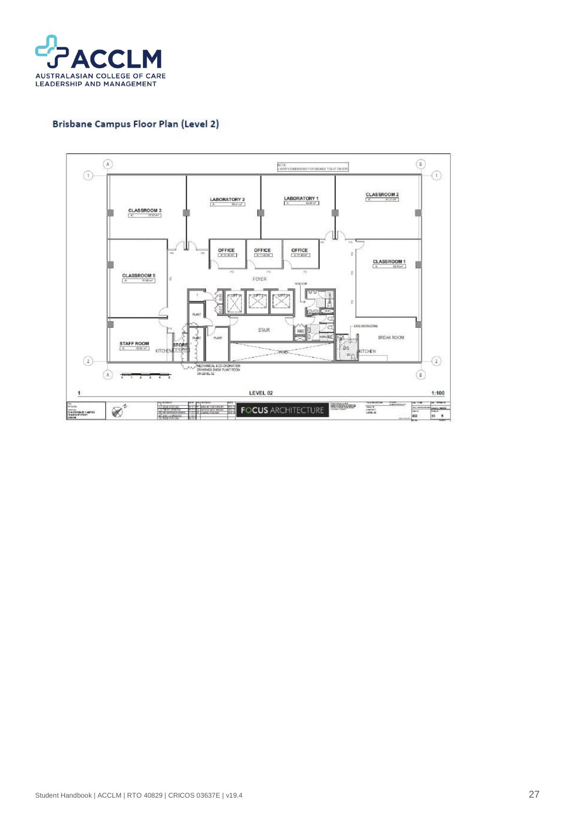

#### Brisbane Campus Floor Plan (Level 2)

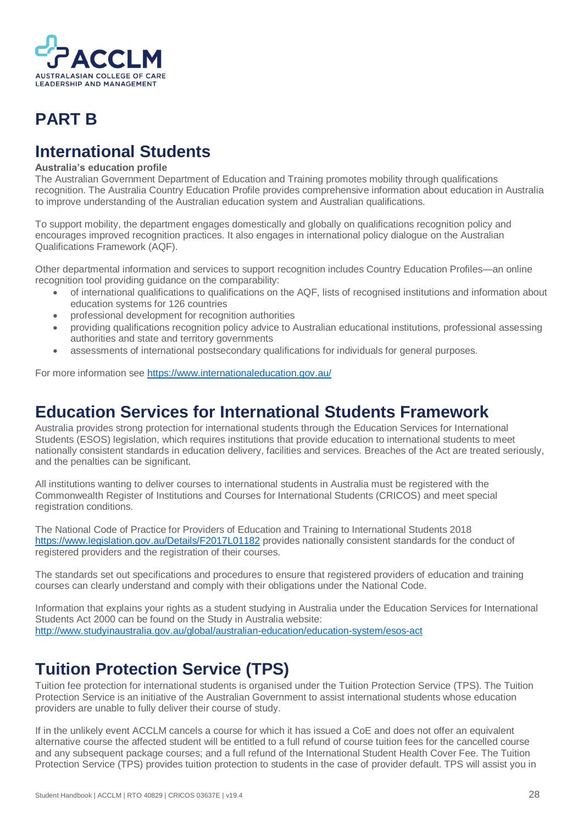

# <span id="page-28-0"></span>**PART B**

# <span id="page-28-1"></span>**International Students**

#### **Australia's education profile**

The Australian Government Department of Education and Training promotes mobility through qualifications recognition. The Australia Country Education Profile provides comprehensive information about education in Australia to improve understanding of the Australian education system and Australian qualifications.

To support mobility, the department engages domestically and globally on qualifications recognition policy and encourages improved recognition practices. It also engages in international policy dialogue on the Australian Qualifications Framework (AQF).

Other departmental information and services to support recognition includes Country Education Profiles—an online recognition tool providing guidance on the comparability:

- of international qualifications to qualifications on the AQF, lists of recognised institutions and information about education systems for 126 countries
- professional development for recognition authorities
- providing qualifications recognition policy advice to Australian educational institutions, professional assessing authorities and state and territory governments
- assessments of international postsecondary qualifications for individuals for general purposes.

For more information see<https://www.internationaleducation.gov.au/>

### <span id="page-28-2"></span>**Education Services for International Students Framework**

Australia provides strong protection for international students through the Education Services for International Students (ESOS) legislation, which requires institutions that provide education to international students to meet nationally consistent standards in education delivery, facilities and services. Breaches of the Act are treated seriously, and the penalties can be significant.

All institutions wanting to deliver courses to international students in Australia must be registered with the Commonwealth Register of Institutions and Courses for International Students (CRICOS) and meet special registration conditions.

The National Code of Practice for Providers of Education and Training to International Students 2018 <https://www.legislation.gov.au/Details/F2017L01182> provides nationally consistent standards for the conduct of registered providers and the registration of their courses.

The standards set out specifications and procedures to ensure that registered providers of education and training courses can clearly understand and comply with their obligations under the National Code.

Information that explains your rights as a student studying in Australia under the Education Services for International Students Act 2000 can be found on the Study in Australia website: <http://www.studyinaustralia.gov.au/global/australian-education/education-system/esos-act>

# <span id="page-28-3"></span>**Tuition Protection Service (TPS)**

Tuition fee protection for international students is organised under the Tuition Protection Service (TPS). The Tuition Protection Service is an initiative of the Australian Government to assist international students whose education providers are unable to fully deliver their course of study.

If in the unlikely event ACCLM cancels a course for which it has issued a CoE and does not offer an equivalent alternative course the affected student will be entitled to a full refund of course tuition fees for the cancelled course and any subsequent package courses; and a full refund of the International Student Health Cover Fee. The Tuition Protection Service (TPS) provides tuition protection to students in the case of provider default. TPS will assist you in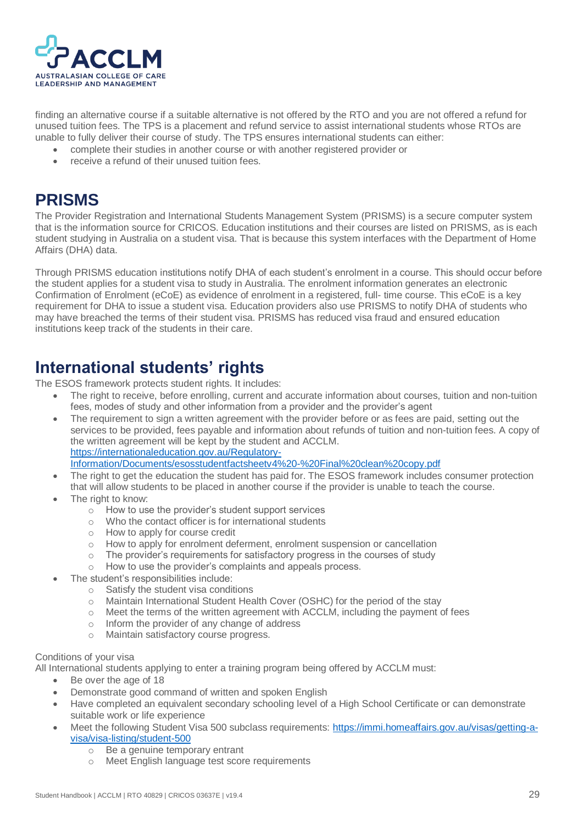

finding an alternative course if a suitable alternative is not offered by the RTO and you are not offered a refund for unused tuition fees. The TPS is a placement and refund service to assist international students whose RTOs are unable to fully deliver their course of study. The TPS ensures international students can either:

- complete their studies in another course or with another registered provider or
- receive a refund of their unused tuition fees.

### <span id="page-29-0"></span>**PRISMS**

The Provider Registration and International Students Management System (PRISMS) is a secure computer system that is the information source for CRICOS. Education institutions and their courses are listed on PRISMS, as is each student studying in Australia on a student visa. That is because this system interfaces with the Department of Home Affairs (DHA) data.

Through PRISMS education institutions notify DHA of each student's enrolment in a course. This should occur before the student applies for a student visa to study in Australia. The enrolment information generates an electronic Confirmation of Enrolment (eCoE) as evidence of enrolment in a registered, full- time course. This eCoE is a key requirement for DHA to issue a student visa. Education providers also use PRISMS to notify DHA of students who may have breached the terms of their student visa. PRISMS has reduced visa fraud and ensured education institutions keep track of the students in their care.

### <span id="page-29-1"></span>**International students' rights**

The ESOS framework protects student rights. It includes:

- The right to receive, before enrolling, current and accurate information about courses, tuition and non-tuition fees, modes of study and other information from a provider and the provider's agent
- The requirement to sign a written agreement with the provider before or as fees are paid, setting out the services to be provided, fees payable and information about refunds of tuition and non-tuition fees. A copy of the written agreement will be kept by the student and ACCLM. [https://internationaleducation.gov.au/Regulatory-](https://internationaleducation.gov.au/Regulatory-Information/Documents/esosstudentfactsheetv4%20-%20Final%20clean%20copy.pdf)[Information/Documents/esosstudentfactsheetv4%20-%20Final%20clean%20copy.pdf](https://internationaleducation.gov.au/Regulatory-Information/Documents/esosstudentfactsheetv4%20-%20Final%20clean%20copy.pdf)
	-
- The right to get the education the student has paid for. The ESOS framework includes consumer protection that will allow students to be placed in another course if the provider is unable to teach the course.
- The right to know:
	- $\circ$  How to use the provider's student support services
	- o Who the contact officer is for international students
	- o How to apply for course credit
	- o How to apply for enrolment deferment, enrolment suspension or cancellation
	- $\circ$  The provider's requirements for satisfactory progress in the courses of study
	- o How to use the provider's complaints and appeals process.
	- The student's responsibilities include:
		- o Satisfy the student visa conditions
		- o Maintain International Student Health Cover (OSHC) for the period of the stay
		- $\circ$  Meet the terms of the written agreement with ACCLM, including the payment of fees
		- o Inform the provider of any change of address
		- o Maintain satisfactory course progress.

#### Conditions of your visa

All International students applying to enter a training program being offered by ACCLM must:

- Be over the age of 18
- Demonstrate good command of written and spoken English
- Have completed an equivalent secondary schooling level of a High School Certificate or can demonstrate suitable work or life experience
- Meet the following Student Visa 500 subclass requirements: [https://immi.homeaffairs.gov.au/visas/getting-a](https://immi.homeaffairs.gov.au/visas/getting-a-visa/visa-listing/student-500)[visa/visa-listing/student-500](https://immi.homeaffairs.gov.au/visas/getting-a-visa/visa-listing/student-500)
	- o Be a genuine temporary entrant
	- o Meet English language test score requirements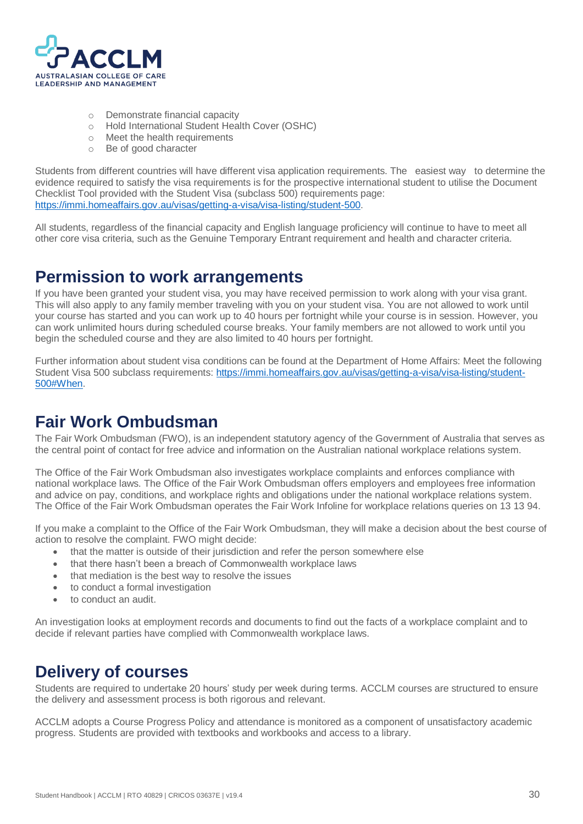

- o Demonstrate financial capacity
- o Hold International Student Health Cover (OSHC)
- o Meet the health requirements
- o Be of good character

Students from different countries will have different visa application requirements. The easiest way to determine the evidence required to satisfy the visa requirements is for the prospective international student to utilise the Document Checklist Tool provided with the Student Visa (subclass 500) requirements page: [https://immi.homeaffairs.gov.au/visas/getting-a-visa/visa-listing/student-500.](https://immi.homeaffairs.gov.au/visas/getting-a-visa/visa-listing/student-500)

All students, regardless of the financial capacity and English language proficiency will continue to have to meet all other core visa criteria, such as the Genuine Temporary Entrant requirement and health and character criteria.

### <span id="page-30-0"></span>**Permission to work arrangements**

If you have been granted your student visa, you may have received permission to work along with your visa grant. This will also apply to any family member traveling with you on your student visa. You are not allowed to work until your course has started and you can work up to 40 hours per fortnight while your course is in session. However, you can work unlimited hours during scheduled course breaks. Your family members are not allowed to work until you begin the scheduled course and they are also limited to 40 hours per fortnight.

Further information about student visa conditions can be found at the Department of Home Affairs: Meet the following Student Visa 500 subclass requirements: [https://immi.homeaffairs.gov.au/visas/getting-a-visa/visa-listing/student-](https://immi.homeaffairs.gov.au/visas/getting-a-visa/visa-listing/student-500#When)[500#When.](https://immi.homeaffairs.gov.au/visas/getting-a-visa/visa-listing/student-500#When)

# <span id="page-30-1"></span>**Fair Work Ombudsman**

The Fair Work Ombudsman (FWO), is an independent statutory agency of the Government of Australia that serves as the central point of contact for free advice and information on the Australian national workplace relations system.

The Office of the Fair Work Ombudsman also investigates workplace complaints and enforces compliance with national workplace laws. The Office of the Fair Work Ombudsman offers employers and employees free information and advice on pay, conditions, and workplace rights and obligations under the national workplace relations system. The Office of the Fair Work Ombudsman operates the Fair Work Infoline for workplace relations queries on 13 13 94.

If you make a complaint to the Office of the Fair Work Ombudsman, they will make a decision about the best course of action to resolve the complaint. FWO might decide:

- that the matter is outside of their jurisdiction and refer the person somewhere else
- that there hasn't been a breach of Commonwealth workplace laws
- that mediation is the best way to resolve the issues
- to conduct a formal investigation
- to conduct an audit.

An investigation looks at employment records and documents to find out the facts of a workplace complaint and to decide if relevant parties have complied with Commonwealth workplace laws.

# <span id="page-30-2"></span>**Delivery of courses**

Students are required to undertake 20 hours' study per week during terms. ACCLM courses are structured to ensure the delivery and assessment process is both rigorous and relevant.

ACCLM adopts a Course Progress Policy and attendance is monitored as a component of unsatisfactory academic progress. Students are provided with textbooks and workbooks and access to a library.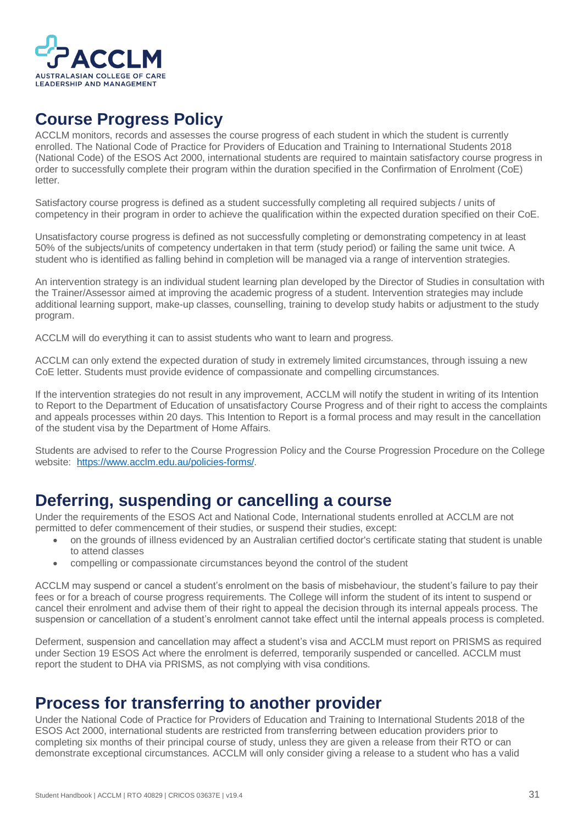

# <span id="page-31-0"></span>**Course Progress Policy**

ACCLM monitors, records and assesses the course progress of each student in which the student is currently enrolled. The National Code of Practice for Providers of Education and Training to International Students 2018 (National Code) of the ESOS Act 2000, international students are required to maintain satisfactory course progress in order to successfully complete their program within the duration specified in the Confirmation of Enrolment (CoE) letter.

Satisfactory course progress is defined as a student successfully completing all required subjects / units of competency in their program in order to achieve the qualification within the expected duration specified on their CoE.

Unsatisfactory course progress is defined as not successfully completing or demonstrating competency in at least 50% of the subjects/units of competency undertaken in that term (study period) or failing the same unit twice. A student who is identified as falling behind in completion will be managed via a range of intervention strategies.

An intervention strategy is an individual student learning plan developed by the Director of Studies in consultation with the Trainer/Assessor aimed at improving the academic progress of a student. Intervention strategies may include additional learning support, make-up classes, counselling, training to develop study habits or adjustment to the study program.

ACCLM will do everything it can to assist students who want to learn and progress.

ACCLM can only extend the expected duration of study in extremely limited circumstances, through issuing a new CoE letter. Students must provide evidence of compassionate and compelling circumstances.

If the intervention strategies do not result in any improvement, ACCLM will notify the student in writing of its Intention to Report to the Department of Education of unsatisfactory Course Progress and of their right to access the complaints and appeals processes within 20 days. This Intention to Report is a formal process and may result in the cancellation of the student visa by the Department of Home Affairs.

Students are advised to refer to the Course Progression Policy and the Course Progression Procedure on the College website: [https://www.acclm.edu.au/policies-forms/.](https://www.acclm.edu.au/policies-forms/)

### <span id="page-31-1"></span>**Deferring, suspending or cancelling a course**

Under the requirements of the ESOS Act and National Code, International students enrolled at ACCLM are not permitted to defer commencement of their studies, or suspend their studies, except:

- on the grounds of illness evidenced by an Australian certified doctor's certificate stating that student is unable to attend classes
- compelling or compassionate circumstances beyond the control of the student

ACCLM may suspend or cancel a student's enrolment on the basis of misbehaviour, the student's failure to pay their fees or for a breach of course progress requirements. The College will inform the student of its intent to suspend or cancel their enrolment and advise them of their right to appeal the decision through its internal appeals process. The suspension or cancellation of a student's enrolment cannot take effect until the internal appeals process is completed.

Deferment, suspension and cancellation may affect a student's visa and ACCLM must report on PRISMS as required under Section 19 ESOS Act where the enrolment is deferred, temporarily suspended or cancelled. ACCLM must report the student to DHA via PRISMS, as not complying with visa conditions.

### <span id="page-31-2"></span>**Process for transferring to another provider**

Under the National Code of Practice for Providers of Education and Training to International Students 2018 of the ESOS Act 2000, international students are restricted from transferring between education providers prior to completing six months of their principal course of study, unless they are given a release from their RTO or can demonstrate exceptional circumstances. ACCLM will only consider giving a release to a student who has a valid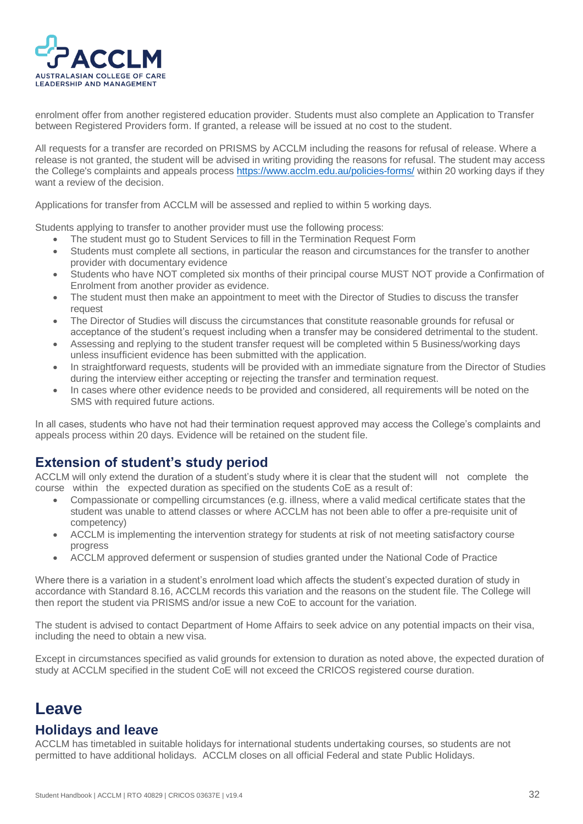

enrolment offer from another registered education provider. Students must also complete an Application to Transfer between Registered Providers form. If granted, a release will be issued at no cost to the student.

All requests for a transfer are recorded on PRISMS by ACCLM including the reasons for refusal of release. Where a release is not granted, the student will be advised in writing providing the reasons for refusal. The student may access the College's complaints and appeals process<https://www.acclm.edu.au/policies-forms/> within 20 working days if they want a review of the decision.

Applications for transfer from ACCLM will be assessed and replied to within 5 working days.

Students applying to transfer to another provider must use the following process:

- The student must go to Student Services to fill in the Termination Request Form
- Students must complete all sections, in particular the reason and circumstances for the transfer to another provider with documentary evidence
- Students who have NOT completed six months of their principal course MUST NOT provide a Confirmation of Enrolment from another provider as evidence.
- The student must then make an appointment to meet with the Director of Studies to discuss the transfer request
- The Director of Studies will discuss the circumstances that constitute reasonable grounds for refusal or acceptance of the student's request including when a transfer may be considered detrimental to the student.
- Assessing and replying to the student transfer request will be completed within 5 Business/working days unless insufficient evidence has been submitted with the application.
- In straightforward requests, students will be provided with an immediate signature from the Director of Studies during the interview either accepting or rejecting the transfer and termination request.
- In cases where other evidence needs to be provided and considered, all requirements will be noted on the SMS with required future actions.

In all cases, students who have not had their termination request approved may access the College's complaints and appeals process within 20 days. Evidence will be retained on the student file.

### <span id="page-32-0"></span>**Extension of student's study period**

ACCLM will only extend the duration of a student's study where it is clear that the student will not complete the course within the expected duration as specified on the students CoE as a result of:

- Compassionate or compelling circumstances (e.g. illness, where a valid medical certificate states that the student was unable to attend classes or where ACCLM has not been able to offer a pre-requisite unit of competency)
- ACCLM is implementing the intervention strategy for students at risk of not meeting satisfactory course progress
- ACCLM approved deferment or suspension of studies granted under the National Code of Practice

Where there is a variation in a student's enrolment load which affects the student's expected duration of study in accordance with Standard 8.16, ACCLM records this variation and the reasons on the student file. The College will then report the student via PRISMS and/or issue a new CoE to account for the variation.

The student is advised to contact Department of Home Affairs to seek advice on any potential impacts on their visa, including the need to obtain a new visa.

Except in circumstances specified as valid grounds for extension to duration as noted above, the expected duration of study at ACCLM specified in the student CoE will not exceed the CRICOS registered course duration.

### <span id="page-32-1"></span>**Leave**

#### <span id="page-32-2"></span>**Holidays and leave**

ACCLM has timetabled in suitable holidays for international students undertaking courses, so students are not permitted to have additional holidays. ACCLM closes on all official Federal and state Public Holidays.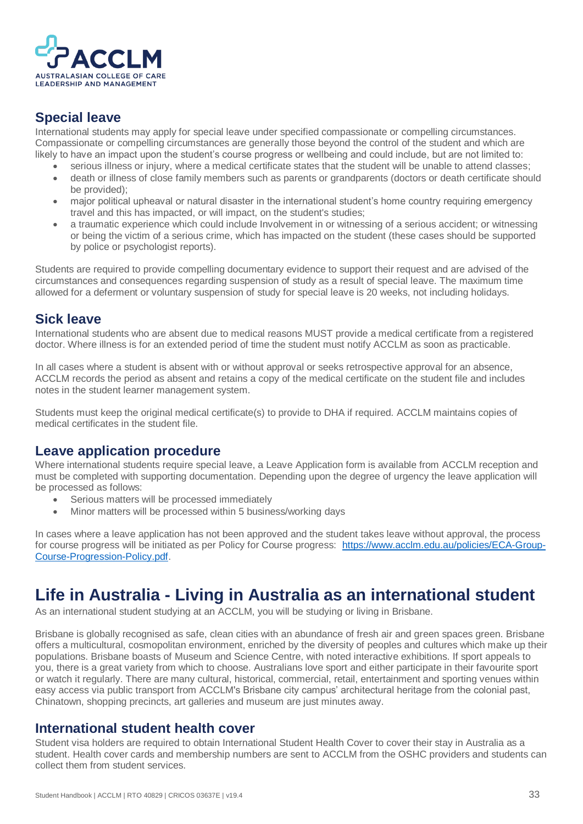

### <span id="page-33-0"></span>**Special leave**

International students may apply for special leave under specified compassionate or compelling circumstances. Compassionate or compelling circumstances are generally those beyond the control of the student and which are likely to have an impact upon the student's course progress or wellbeing and could include, but are not limited to:

- serious illness or injury, where a medical certificate states that the student will be unable to attend classes; • death or illness of close family members such as parents or grandparents (doctors or death certificate should be provided);
- major political upheaval or natural disaster in the international student's home country requiring emergency travel and this has impacted, or will impact, on the student's studies;
- a traumatic experience which could include Involvement in or witnessing of a serious accident; or witnessing or being the victim of a serious crime, which has impacted on the student (these cases should be supported by police or psychologist reports).

Students are required to provide compelling documentary evidence to support their request and are advised of the circumstances and consequences regarding suspension of study as a result of special leave. The maximum time allowed for a deferment or voluntary suspension of study for special leave is 20 weeks, not including holidays.

### <span id="page-33-1"></span>**Sick leave**

International students who are absent due to medical reasons MUST provide a medical certificate from a registered doctor. Where illness is for an extended period of time the student must notify ACCLM as soon as practicable.

In all cases where a student is absent with or without approval or seeks retrospective approval for an absence, ACCLM records the period as absent and retains a copy of the medical certificate on the student file and includes notes in the student learner management system.

Students must keep the original medical certificate(s) to provide to DHA if required. ACCLM maintains copies of medical certificates in the student file.

### <span id="page-33-2"></span>**Leave application procedure**

Where international students require special leave, a Leave Application form is available from ACCLM reception and must be completed with supporting documentation. Depending upon the degree of urgency the leave application will be processed as follows:

- Serious matters will be processed immediately
- Minor matters will be processed within 5 business/working days

In cases where a leave application has not been approved and the student takes leave without approval, the process for course progress will be initiated as per Policy for Course progress: [https://www.acclm.edu.au/policies/ECA-Group-](https://www.acclm.edu.au/policies/ECA-Group-Course-Progression-Policy.pdf)[Course-Progression-Policy.pdf.](https://www.acclm.edu.au/policies/ECA-Group-Course-Progression-Policy.pdf)

# <span id="page-33-3"></span>**Life in Australia - Living in Australia as an international student**

As an international student studying at an ACCLM, you will be studying or living in Brisbane.

Brisbane is globally recognised as safe, clean cities with an abundance of fresh air and green spaces green. Brisbane offers a multicultural, cosmopolitan environment, enriched by the diversity of peoples and cultures which make up their populations. Brisbane boasts of Museum and Science Centre, with noted interactive exhibitions. If sport appeals to you, there is a great variety from which to choose. Australians love sport and either participate in their favourite sport or watch it regularly. There are many cultural, historical, commercial, retail, entertainment and sporting venues within easy access via public transport from ACCLM's Brisbane city campus' architectural heritage from the colonial past, Chinatown, shopping precincts, art galleries and museum are just minutes away.

#### <span id="page-33-4"></span>**International student health cover**

Student visa holders are required to obtain International Student Health Cover to cover their stay in Australia as a student. Health cover cards and membership numbers are sent to ACCLM from the OSHC providers and students can collect them from student services.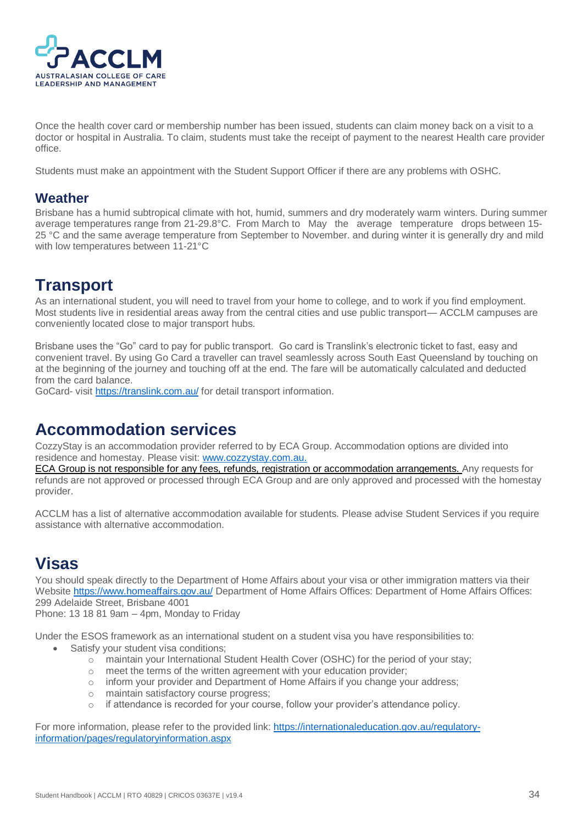

Once the health cover card or membership number has been issued, students can claim money back on a visit to a doctor or hospital in Australia. To claim, students must take the receipt of payment to the nearest Health care provider office.

Students must make an appointment with the Student Support Officer if there are any problems with OSHC.

#### <span id="page-34-0"></span>**Weather**

Brisbane has a humid subtropical climate with hot, humid, summers and dry moderately warm winters. During summer average temperatures range from 21-29.8°C. From March to May the average temperature drops between 15- 25 °C and the same average temperature from September to November, and during winter it is generally dry and mild with low temperatures between 11-21°C

# <span id="page-34-1"></span>**Transport**

As an international student, you will need to travel from your home to college, and to work if you find employment. Most students live in residential areas away from the central cities and use public transport— ACCLM campuses are conveniently located close to major transport hubs.

Brisbane uses the "Go" card to pay for public transport. Go card is Translink's electronic ticket to fast, easy and convenient travel. By using Go Card a traveller can travel seamlessly across South East Queensland by touching on at the beginning of the journey and touching off at the end. The fare will be automatically calculated and deducted from the card balance.

GoCard- visit<https://translink.com.au/> for detail transport information.

### <span id="page-34-2"></span>**Accommodation services**

CozzyStay is an accommodation provider referred to by ECA Group. Accommodation options are divided into residence and homestay. Please visit: [www.cozzystay.com.au.](http://www.cozzystay.com.au/)

ECA Group is not responsible for any fees, refunds, registration or accommodation arrangements. Any requests for refunds are not approved or processed through ECA Group and are only approved and processed with the homestay provider.

ACCLM has a list of alternative accommodation available for students. Please advise Student Services if you require assistance with alternative accommodation.

# <span id="page-34-3"></span>**Visas**

You should speak directly to the Department of Home Affairs about your visa or other immigration matters via their Website<https://www.homeaffairs.gov.au/> Department of Home Affairs Offices: Department of Home Affairs Offices: 299 Adelaide Street, Brisbane 4001

Phone: 13 18 81 9am – 4pm, Monday to Friday

Under the ESOS framework as an international student on a student visa you have responsibilities to:

- Satisfy your student visa conditions;
	- o maintain your International Student Health Cover (OSHC) for the period of your stay;
	- o meet the terms of the written agreement with your education provider;
	- o inform your provider and Department of Home Affairs if you change your address;
	- o maintain satisfactory course progress;
	- $\circ$  if attendance is recorded for your course, follow your provider's attendance policy.

For more information, please refer to the provided link: [https://internationaleducation.gov.au/regulatory](https://internationaleducation.gov.au/regulatory-information/pages/regulatoryinformation.aspx)[information/pages/regulatoryinformation.aspx](https://internationaleducation.gov.au/regulatory-information/pages/regulatoryinformation.aspx)